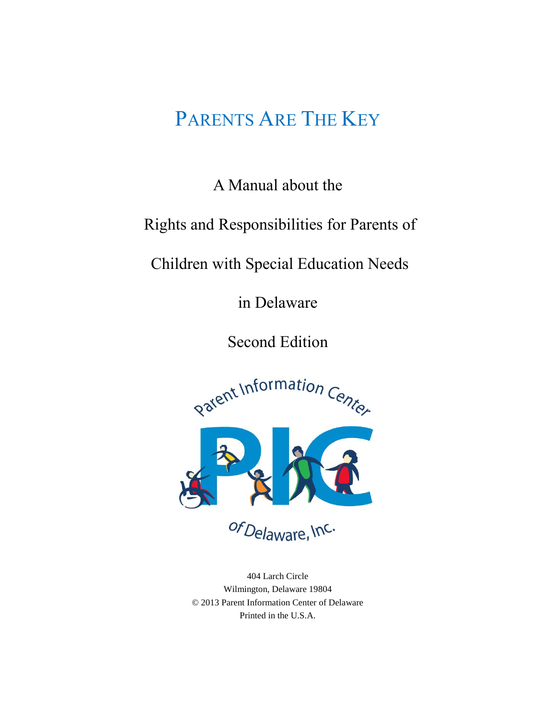# PARENTS ARE THE KEY

A Manual about the

Rights and Responsibilities for Parents of

Children with Special Education Needs

in Delaware

Second Edition



of Delaware, Inc.

404 Larch Circle Wilmington, Delaware 19804 © 2013 Parent Information Center of Delaware Printed in the U.S.A.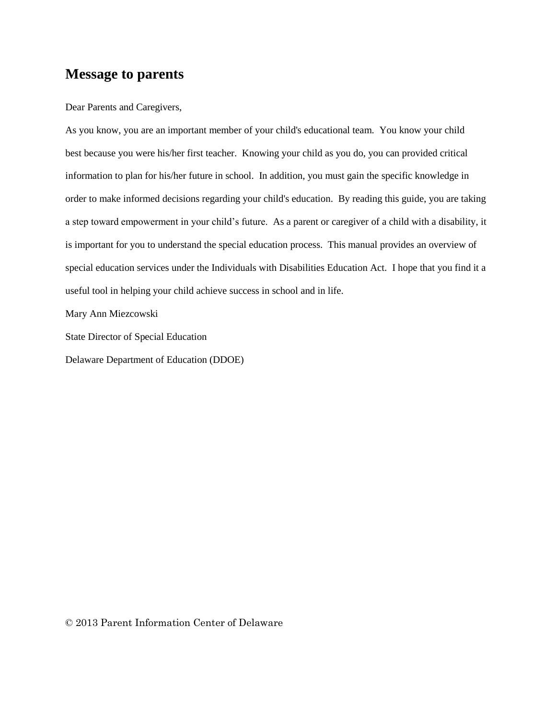### **Message to parents**

Dear Parents and Caregivers,

As you know, you are an important member of your child's educational team. You know your child best because you were his/her first teacher. Knowing your child as you do, you can provided critical information to plan for his/her future in school. In addition, you must gain the specific knowledge in order to make informed decisions regarding your child's education. By reading this guide, you are taking a step toward empowerment in your child's future. As a parent or caregiver of a child with a disability, it is important for you to understand the special education process. This manual provides an overview of special education services under the Individuals with Disabilities Education Act. I hope that you find it a useful tool in helping your child achieve success in school and in life.

Mary Ann Miezcowski

State Director of Special Education

Delaware Department of Education (DDOE)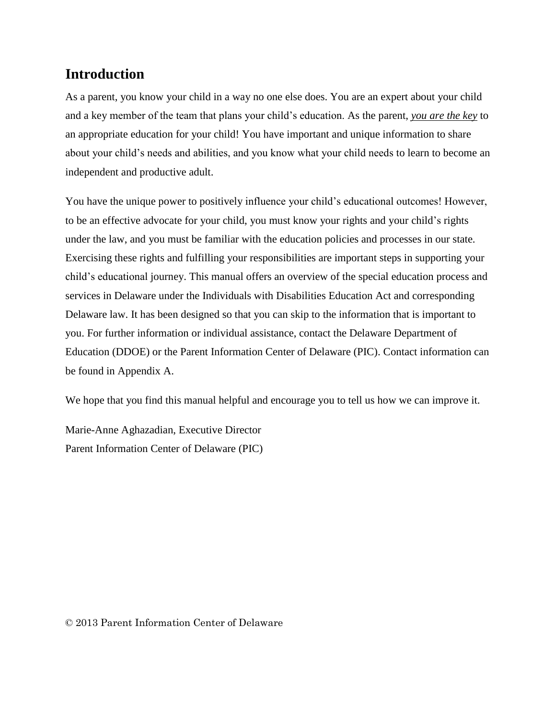## **Introduction**

As a parent, you know your child in a way no one else does. You are an expert about your child and a key member of the team that plans your child's education. As the parent, *you are the key* to an appropriate education for your child! You have important and unique information to share about your child's needs and abilities, and you know what your child needs to learn to become an independent and productive adult.

You have the unique power to positively influence your child's educational outcomes! However, to be an effective advocate for your child, you must know your rights and your child's rights under the law, and you must be familiar with the education policies and processes in our state. Exercising these rights and fulfilling your responsibilities are important steps in supporting your child's educational journey. This manual offers an overview of the special education process and services in Delaware under the Individuals with Disabilities Education Act and corresponding Delaware law. It has been designed so that you can skip to the information that is important to you. For further information or individual assistance, contact the Delaware Department of Education (DDOE) or the Parent Information Center of Delaware (PIC). Contact information can be found in Appendix A.

We hope that you find this manual helpful and encourage you to tell us how we can improve it.

Marie-Anne Aghazadian, Executive Director Parent Information Center of Delaware (PIC)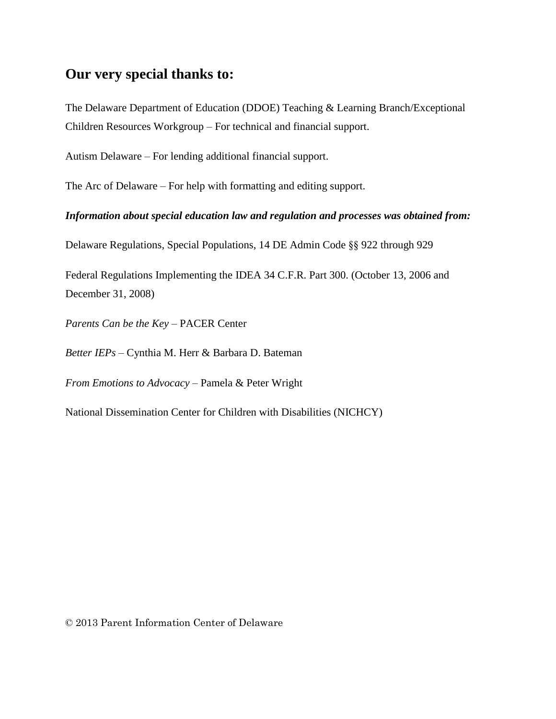### **Our very special thanks to:**

The Delaware Department of Education (DDOE) Teaching & Learning Branch/Exceptional Children Resources Workgroup – For technical and financial support.

Autism Delaware – For lending additional financial support.

The Arc of Delaware – For help with formatting and editing support.

*Information about special education law and regulation and processes was obtained from:* 

Delaware Regulations, Special Populations, 14 DE Admin Code §§ 922 through 929

Federal Regulations Implementing the IDEA 34 C.F.R. Part 300. (October 13, 2006 and December 31, 2008)

*Parents Can be the Key* – PACER Center

*Better IEPs* – Cynthia M. Herr & Barbara D. Bateman

*From Emotions to Advocacy* – Pamela & Peter Wright

National Dissemination Center for Children with Disabilities (NICHCY)

© 2013 Parent Information Center of Delaware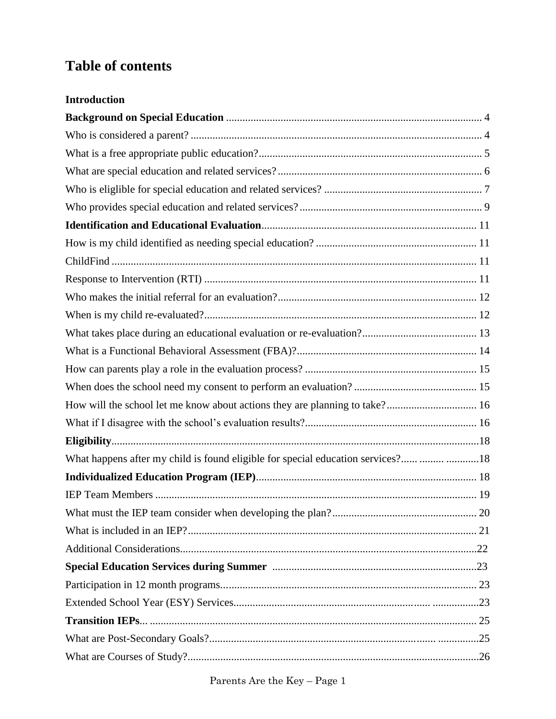## **Table of contents**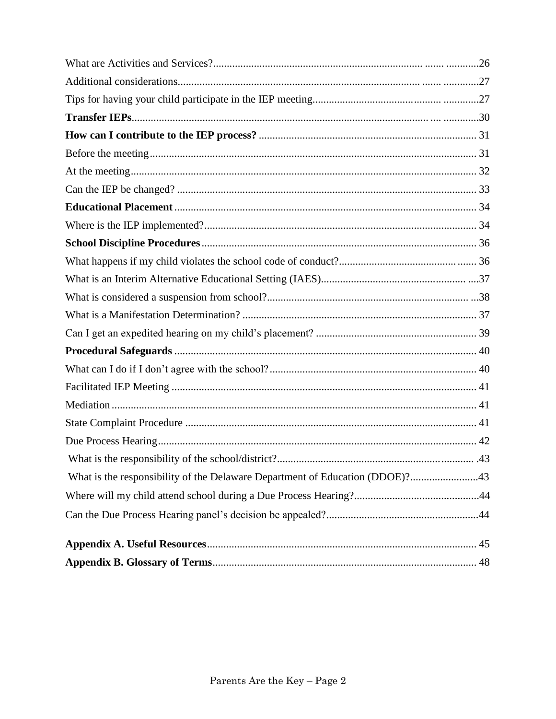| .43 |
|-----|
|     |
|     |
|     |
|     |
|     |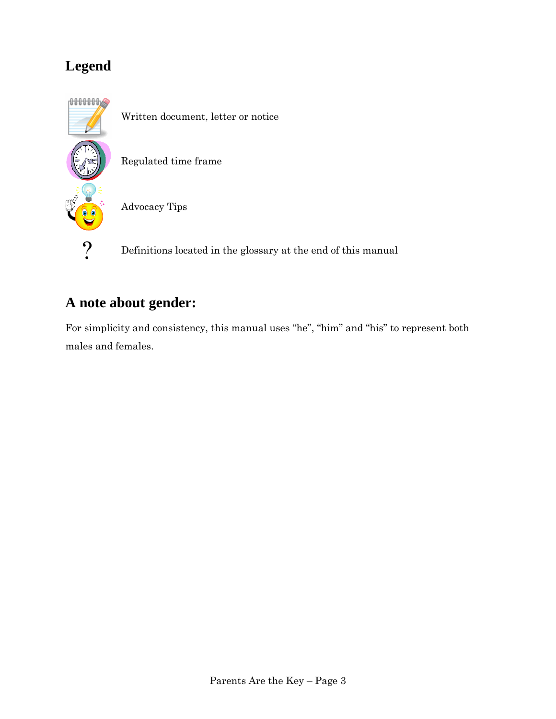## **Legend**



Written document, letter or notice

Regulated time frame

Advocacy Tips

? Definitions located in the glossary at the end of this manual

## **A note about gender:**

For simplicity and consistency, this manual uses "he", "him" and "his" to represent both males and females.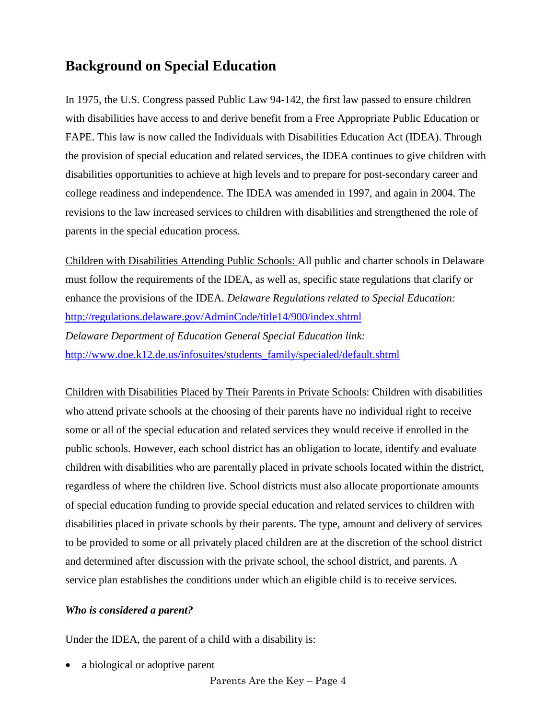## **Background on Special Education**

In 1975, the U.S. Congress passed Public Law 94-142, the first law passed to ensure children with disabilities have access to and derive benefit from a Free Appropriate Public Education or FAPE. This law is now called the Individuals with Disabilities Education Act (IDEA). Through the provision of special education and related services, the IDEA continues to give children with disabilities opportunities to achieve at high levels and to prepare for post-secondary career and college readiness and independence. The IDEA was amended in 1997, and again in 2004. The revisions to the law increased services to children with disabilities and strengthened the role of parents in the special education process.

Children with Disabilities Attending Public Schools: All public and charter schools in Delaware must follow the requirements of the IDEA, as well as, specific state regulations that clarify or enhance the provisions of the IDEA. *Delaware Regulations related to Special Education:* <http://regulations.delaware.gov/AdminCode/title14/900/index.shtml> *Delaware Department of Education General Special Education link:* [http://www.doe.k12.de.us/infosuites/students\\_family/specialed/default.shtml](http://www.doe.k12.de.us/infosuites/students_family/specialed/default.shtml)

Children with Disabilities Placed by Their Parents in Private Schools: Children with disabilities who attend private schools at the choosing of their parents have no individual right to receive some or all of the special education and related services they would receive if enrolled in the public schools. However, each school district has an obligation to locate, identify and evaluate children with disabilities who are parentally placed in private schools located within the district, regardless of where the children live. School districts must also allocate proportionate amounts of special education funding to provide special education and related services to children with disabilities placed in private schools by their parents. The type, amount and delivery of services to be provided to some or all privately placed children are at the discretion of the school district and determined after discussion with the private school, the school district, and parents. A service plan establishes the conditions under which an eligible child is to receive services.

### <span id="page-7-0"></span>*Who is considered a parent?*

Under the IDEA, the parent of a child with a disability is:

a biological or adoptive parent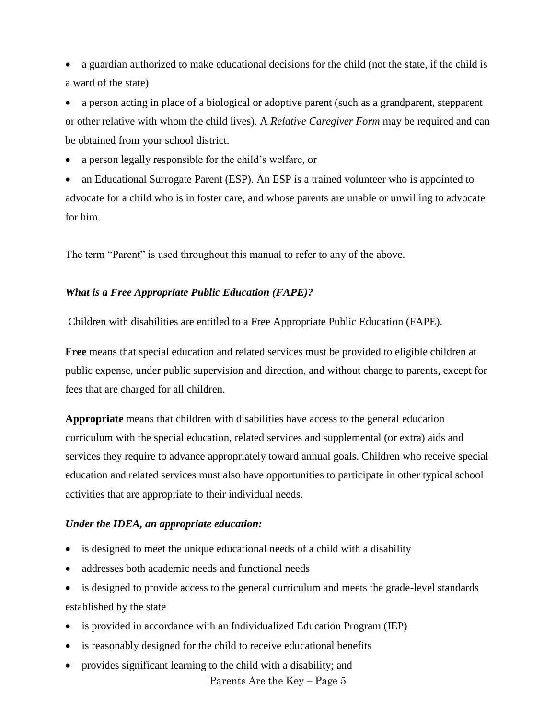a guardian authorized to make educational decisions for the child (not the state, if the child is a ward of the state)

 a person acting in place of a biological or adoptive parent (such as a grandparent, stepparent or other relative with whom the child lives). A *Relative Caregiver Form* may be required and can be obtained from your school district.

a person legally responsible for the child's welfare, or

 an Educational Surrogate Parent (ESP). An ESP is a trained volunteer who is appointed to advocate for a child who is in foster care, and whose parents are unable or unwilling to advocate for him.

<span id="page-8-0"></span>The term "Parent" is used throughout this manual to refer to any of the above.

#### *What is a Free Appropriate Public Education (FAPE)?*

Children with disabilities are entitled to a Free Appropriate Public Education (FAPE).

**Free** means that special education and related services must be provided to eligible children at public expense, under public supervision and direction, and without charge to parents, except for fees that are charged for all children.

**Appropriate** means that children with disabilities have access to the general education curriculum with the special education, related services and supplemental (or extra) aids and services they require to advance appropriately toward annual goals. Children who receive special education and related services must also have opportunities to participate in other typical school activities that are appropriate to their individual needs.

#### *Under the IDEA, an appropriate education:*

- is designed to meet the unique educational needs of a child with a disability
- addresses both academic needs and functional needs

 is designed to provide access to the general curriculum and meets the grade-level standards established by the state

- is provided in accordance with an Individualized Education Program (IEP)
- is reasonably designed for the child to receive educational benefits
- provides significant learning to the child with a disability; and

<span id="page-8-1"></span>Parents Are the Key – Page 5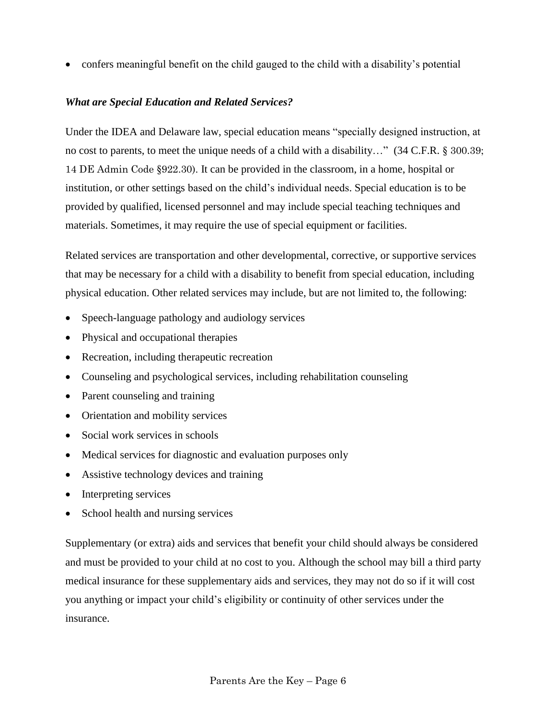confers meaningful benefit on the child gauged to the child with a disability's potential

### *What are Special Education and Related Services?*

Under the IDEA and Delaware law, special education means "specially designed instruction, at no cost to parents, to meet the unique needs of a child with a disability…" (34 C.F.R. § 300.39; 14 DE Admin Code §922.30). It can be provided in the classroom, in a home, hospital or institution, or other settings based on the child's individual needs. Special education is to be provided by qualified, licensed personnel and may include special teaching techniques and materials. Sometimes, it may require the use of special equipment or facilities.

Related services are transportation and other developmental, corrective, or supportive services that may be necessary for a child with a disability to benefit from special education, including physical education. Other related services may include, but are not limited to, the following:

- Speech-language pathology and audiology services
- Physical and occupational therapies
- Recreation, including therapeutic recreation
- Counseling and psychological services, including rehabilitation counseling
- Parent counseling and training
- Orientation and mobility services
- Social work services in schools
- Medical services for diagnostic and evaluation purposes only
- Assistive technology devices and training
- Interpreting services
- School health and nursing services

Supplementary (or extra) aids and services that benefit your child should always be considered and must be provided to your child at no cost to you. Although the school may bill a third party medical insurance for these supplementary aids and services, they may not do so if it will cost you anything or impact your child's eligibility or continuity of other services under the insurance.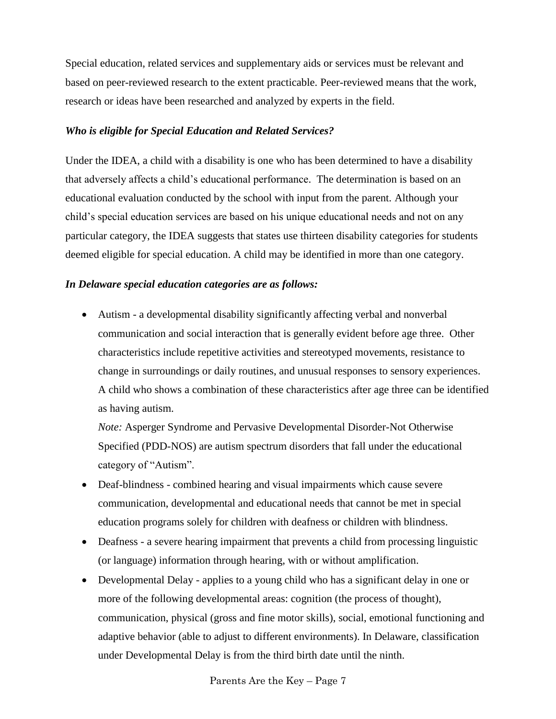Special education, related services and supplementary aids or services must be relevant and based on peer-reviewed research to the extent practicable. Peer-reviewed means that the work, research or ideas have been researched and analyzed by experts in the field.

#### <span id="page-10-0"></span>*Who is eligible for Special Education and Related Services?*

Under the IDEA, a child with a disability is one who has been determined to have a disability that adversely affects a child's educational performance. The determination is based on an educational evaluation conducted by the school with input from the parent. Although your child's special education services are based on his unique educational needs and not on any particular category, the IDEA suggests that states use thirteen disability categories for students deemed eligible for special education. A child may be identified in more than one category.

#### *In Delaware special education categories are as follows:*

 Autism - a developmental disability significantly affecting verbal and nonverbal communication and social interaction that is generally evident before age three. Other characteristics include repetitive activities and stereotyped movements, resistance to change in surroundings or daily routines, and unusual responses to sensory experiences. A child who shows a combination of these characteristics after age three can be identified as having autism.

*Note:* Asperger Syndrome and Pervasive Developmental Disorder-Not Otherwise Specified (PDD-NOS) are autism spectrum disorders that fall under the educational category of "Autism".

- Deaf-blindness combined hearing and visual impairments which cause severe communication, developmental and educational needs that cannot be met in special education programs solely for children with deafness or children with blindness.
- Deafness a severe hearing impairment that prevents a child from processing linguistic (or language) information through hearing, with or without amplification.
- Developmental Delay applies to a young child who has a significant delay in one or more of the following developmental areas: cognition (the process of thought), communication, physical (gross and fine motor skills), social, emotional functioning and adaptive behavior (able to adjust to different environments). In Delaware, classification under Developmental Delay is from the third birth date until the ninth.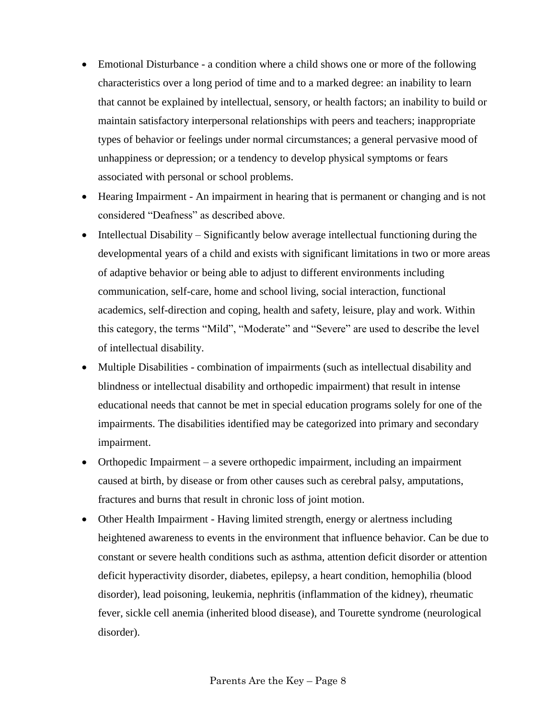- Emotional Disturbance a condition where a child shows one or more of the following characteristics over a long period of time and to a marked degree: an inability to learn that cannot be explained by intellectual, sensory, or health factors; an inability to build or maintain satisfactory interpersonal relationships with peers and teachers; inappropriate types of behavior or feelings under normal circumstances; a general pervasive mood of unhappiness or depression; or a tendency to develop physical symptoms or fears associated with personal or school problems.
- Hearing Impairment An impairment in hearing that is permanent or changing and is not considered "Deafness" as described above.
- Intellectual Disability Significantly below average intellectual functioning during the developmental years of a child and exists with significant limitations in two or more areas of adaptive behavior or being able to adjust to different environments including communication, self-care, home and school living, social interaction, functional academics, self-direction and coping, health and safety, leisure, play and work. Within this category, the terms "Mild", "Moderate" and "Severe" are used to describe the level of intellectual disability.
- Multiple Disabilities combination of impairments (such as intellectual disability and blindness or intellectual disability and orthopedic impairment) that result in intense educational needs that cannot be met in special education programs solely for one of the impairments. The disabilities identified may be categorized into primary and secondary impairment.
- Orthopedic Impairment a severe orthopedic impairment, including an impairment caused at birth, by disease or from other causes such as cerebral palsy, amputations, fractures and burns that result in chronic loss of joint motion.
- Other Health Impairment Having limited strength, energy or alertness including heightened awareness to events in the environment that influence behavior. Can be due to constant or severe health conditions such as asthma, attention deficit disorder or attention deficit hyperactivity disorder, diabetes, epilepsy, a heart condition, hemophilia (blood disorder), lead poisoning, leukemia, nephritis (inflammation of the kidney), rheumatic fever, sickle cell anemia (inherited blood disease), and Tourette syndrome (neurological disorder).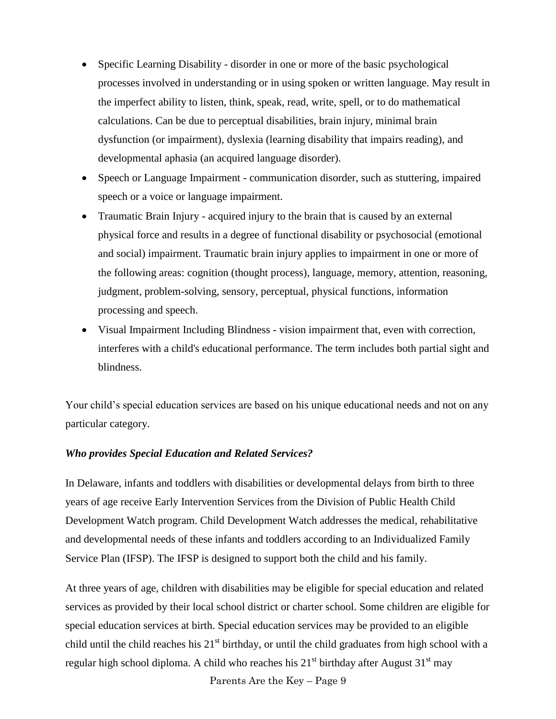- Specific Learning Disability disorder in one or more of the basic psychological processes involved in understanding or in using spoken or written language. May result in the imperfect ability to listen, think, speak, read, write, spell, or to do mathematical calculations. Can be due to perceptual disabilities, brain injury, minimal brain dysfunction (or impairment), dyslexia (learning disability that impairs reading), and developmental aphasia (an acquired language disorder).
- Speech or Language Impairment communication disorder, such as stuttering, impaired speech or a voice or language impairment.
- Traumatic Brain Injury acquired injury to the brain that is caused by an external physical force and results in a degree of functional disability or psychosocial (emotional and social) impairment. Traumatic brain injury applies to impairment in one or more of the following areas: cognition (thought process), language, memory, attention, reasoning, judgment, problem-solving, sensory, perceptual, physical functions, information processing and speech.
- Visual Impairment Including Blindness vision impairment that, even with correction, interferes with a child's educational performance. The term includes both partial sight and blindness.

Your child's special education services are based on his unique educational needs and not on any particular category.

#### <span id="page-12-0"></span>*Who provides Special Education and Related Services?*

In Delaware, infants and toddlers with disabilities or developmental delays from birth to three years of age receive Early Intervention Services from the Division of Public Health Child Development Watch program. Child Development Watch addresses the medical, rehabilitative and developmental needs of these infants and toddlers according to an Individualized Family Service Plan (IFSP). The IFSP is designed to support both the child and his family.

At three years of age, children with disabilities may be eligible for special education and related services as provided by their local school district or charter school. Some children are eligible for special education services at birth. Special education services may be provided to an eligible child until the child reaches his  $21<sup>st</sup>$  birthday, or until the child graduates from high school with a regular high school diploma. A child who reaches his  $21<sup>st</sup>$  birthday after August  $31<sup>st</sup>$  may

Parents Are the Key – Page 9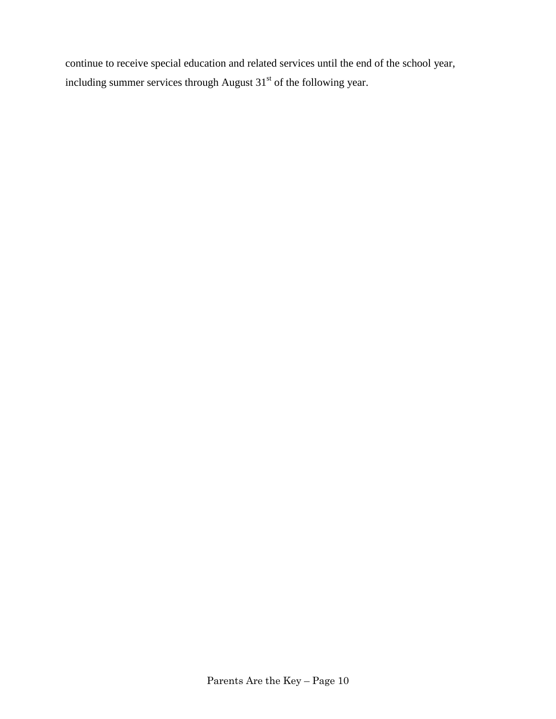continue to receive special education and related services until the end of the school year, including summer services through August  $31<sup>st</sup>$  of the following year.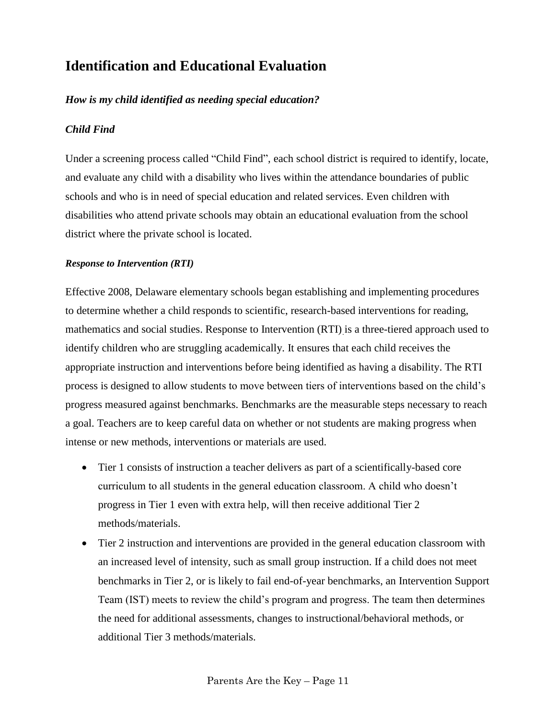## **Identification and Educational Evaluation**

### *How is my child identified as needing special education?*

#### *Child Find*

Under a screening process called "Child Find", each school district is required to identify, locate, and evaluate any child with a disability who lives within the attendance boundaries of public schools and who is in need of special education and related services. Even children with disabilities who attend private schools may obtain an educational evaluation from the school district where the private school is located.

#### <span id="page-14-0"></span>*Response to Intervention (RTI)*

Effective 2008, Delaware elementary schools began establishing and implementing procedures to determine whether a child responds to scientific, research-based interventions for reading, mathematics and social studies. Response to Intervention (RTI) is a three-tiered approach used to identify children who are struggling academically. It ensures that each child receives the appropriate instruction and interventions before being identified as having a disability. The RTI process is designed to allow students to move between tiers of interventions based on the child's progress measured against benchmarks. Benchmarks are the measurable steps necessary to reach a goal. Teachers are to keep careful data on whether or not students are making progress when intense or new methods, interventions or materials are used.

- Tier 1 consists of instruction a teacher delivers as part of a scientifically-based core curriculum to all students in the general education classroom. A child who doesn't progress in Tier 1 even with extra help, will then receive additional Tier 2 methods/materials.
- Tier 2 instruction and interventions are provided in the general education classroom with an increased level of intensity, such as small group instruction. If a child does not meet benchmarks in Tier 2, or is likely to fail end-of-year benchmarks, an Intervention Support Team (IST) meets to review the child's program and progress. The team then determines the need for additional assessments, changes to instructional/behavioral methods, or additional Tier 3 methods/materials.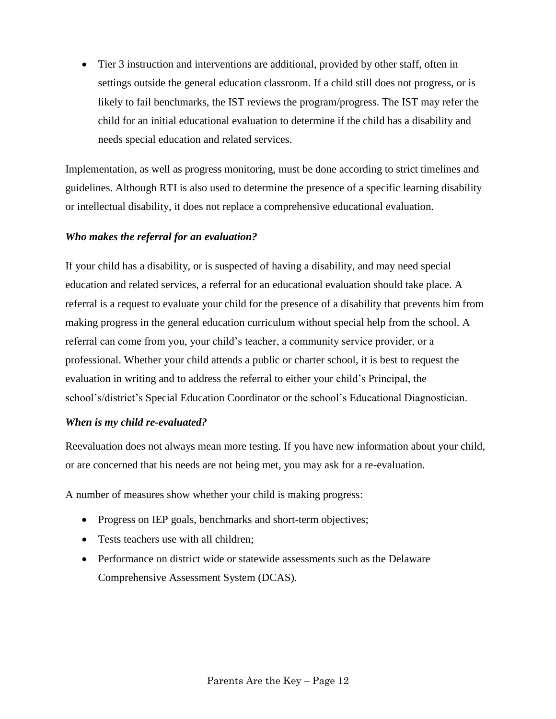• Tier 3 instruction and interventions are additional, provided by other staff, often in settings outside the general education classroom. If a child still does not progress, or is likely to fail benchmarks, the IST reviews the program/progress. The IST may refer the child for an initial educational evaluation to determine if the child has a disability and needs special education and related services.

Implementation, as well as progress monitoring, must be done according to strict timelines and guidelines. Although RTI is also used to determine the presence of a specific learning disability or intellectual disability, it does not replace a comprehensive educational evaluation.

#### <span id="page-15-0"></span>*Who makes the referral for an evaluation?*

If your child has a disability, or is suspected of having a disability, and may need special education and related services, a referral for an educational evaluation should take place. A referral is a request to evaluate your child for the presence of a disability that prevents him from making progress in the general education curriculum without special help from the school. A referral can come from you, your child's teacher, a community service provider, or a professional. Whether your child attends a public or charter school, it is best to request the evaluation in writing and to address the referral to either your child's Principal, the school's/district's Special Education Coordinator or the school's Educational Diagnostician.

#### <span id="page-15-1"></span>*When is my child re-evaluated?*

Reevaluation does not always mean more testing. If you have new information about your child, or are concerned that his needs are not being met, you may ask for a re-evaluation.

A number of measures show whether your child is making progress:

- Progress on IEP goals, benchmarks and short-term objectives;
- Tests teachers use with all children;
- <span id="page-15-2"></span> Performance on district wide or statewide assessments such as the Delaware Comprehensive Assessment System (DCAS).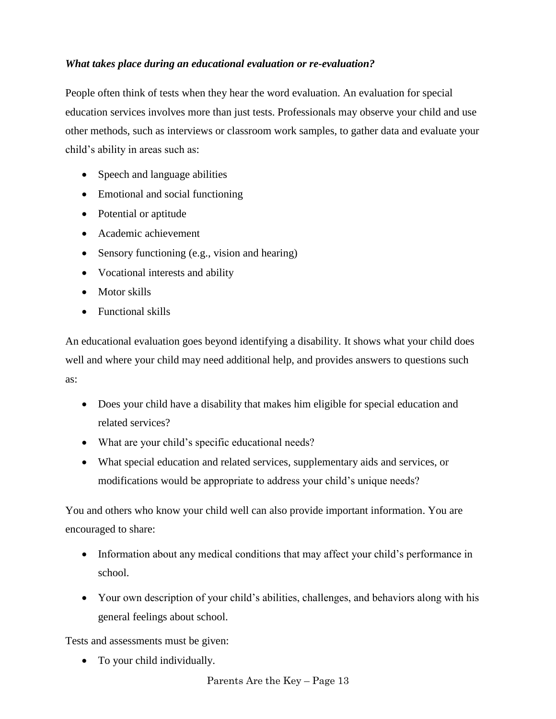### *What takes place during an educational evaluation or re-evaluation?*

People often think of tests when they hear the word evaluation. An evaluation for special education services involves more than just tests. Professionals may observe your child and use other methods, such as interviews or classroom work samples, to gather data and evaluate your child's ability in areas such as:

- Speech and language abilities
- Emotional and social functioning
- Potential or aptitude
- Academic achievement
- Sensory functioning (e.g., vision and hearing)
- Vocational interests and ability
- Motor skills
- Functional skills

An educational evaluation goes beyond identifying a disability. It shows what your child does well and where your child may need additional help, and provides answers to questions such as:

- Does your child have a disability that makes him eligible for special education and related services?
- What are your child's specific educational needs?
- What special education and related services, supplementary aids and services, or modifications would be appropriate to address your child's unique needs?

You and others who know your child well can also provide important information. You are encouraged to share:

- Information about any medical conditions that may affect your child's performance in school.
- Your own description of your child's abilities, challenges, and behaviors along with his general feelings about school.

Tests and assessments must be given:

• To your child individually.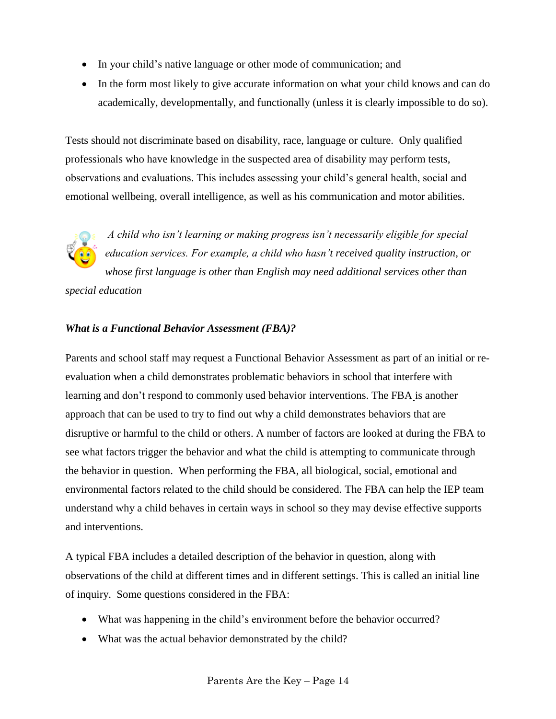- In your child's native language or other mode of communication; and
- <span id="page-17-0"></span>• In the form most likely to give accurate information on what your child knows and can do academically, developmentally, and functionally (unless it is clearly impossible to do so).

Tests should not discriminate based on disability, race, language or culture. Only qualified professionals who have knowledge in the suspected area of disability may perform tests, observations and evaluations. This includes assessing your child's general health, social and emotional wellbeing, overall intelligence, as well as his communication and motor abilities.

*A child who isn't learning or making progress isn't necessarily eligible for special education services. For example, a child who hasn't received quality instruction, or whose first language is other than English may need additional services other than special education* 

### *What is a Functional Behavior Assessment (FBA)?*

Parents and school staff may request a Functional Behavior Assessment as part of an initial or reevaluation when a child demonstrates problematic behaviors in school that interfere with learning and don't respond to commonly used behavior interventions. The FBA is another approach that can be used to try to find out why a child demonstrates behaviors that are disruptive or harmful to the child or others. A number of factors are looked at during the FBA to see what factors trigger the behavior and what the child is attempting to communicate through the behavior in question. When performing the FBA, all biological, social, emotional and environmental factors related to the child should be considered. The FBA can help the IEP team understand why a child behaves in certain ways in school so they may devise effective supports and interventions.

A typical FBA includes a detailed description of the behavior in question, along with observations of the child at different times and in different settings. This is called an initial line of inquiry. Some questions considered in the FBA:

- What was happening in the child's environment before the behavior occurred?
- What was the actual behavior demonstrated by the child?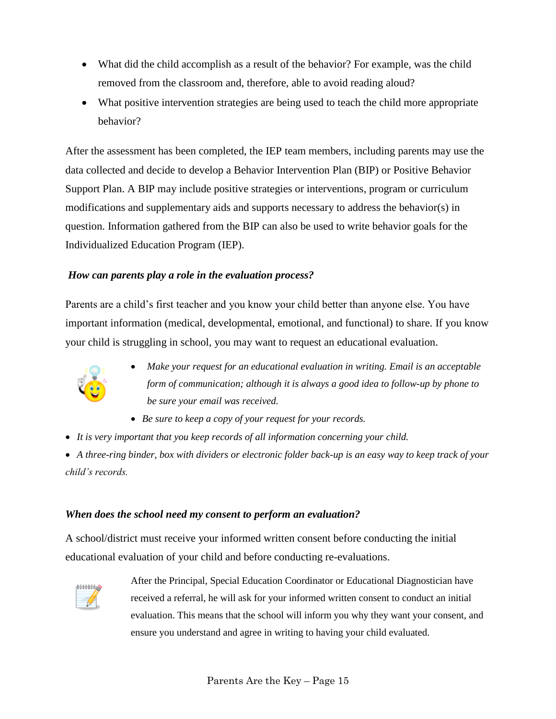- What did the child accomplish as a result of the behavior? For example, was the child removed from the classroom and, therefore, able to avoid reading aloud?
- What positive intervention strategies are being used to teach the child more appropriate behavior?

After the assessment has been completed, the IEP team members, including parents may use the data collected and decide to develop a Behavior Intervention Plan (BIP) or Positive Behavior Support Plan. A BIP may include positive strategies or interventions, program or curriculum modifications and supplementary aids and supports necessary to address the behavior(s) in question. Information gathered from the BIP can also be used to write behavior goals for the Individualized Education Program (IEP).

### *How can parents play a role in the evaluation process?*

Parents are a child's first teacher and you know your child better than anyone else. You have important information (medical, developmental, emotional, and functional) to share. If you know your child is struggling in school, you may want to request an educational evaluation.



- <span id="page-18-1"></span><span id="page-18-0"></span> *Make your request for an educational evaluation in writing. Email is an acceptable form of communication; although it is always a good idea to follow-up by phone to be sure your email was received.*
- *Be sure to keep a copy of your request for your records.*
- *It is very important that you keep records of all information concerning your child.*

 *A three-ring binder, box with dividers or electronic folder back-up is an easy way to keep track of your child's records.*

### *When does the school need my consent to perform an evaluation?*

A school/district must receive your informed written consent before conducting the initial educational evaluation of your child and before conducting re-evaluations.

<span id="page-18-2"></span>

After the Principal, Special Education Coordinator or Educational Diagnostician have received a referral, he will ask for your informed written consent to conduct an initial evaluation. This means that the school will inform you why they want your consent, and ensure you understand and agree in writing to having your child evaluated.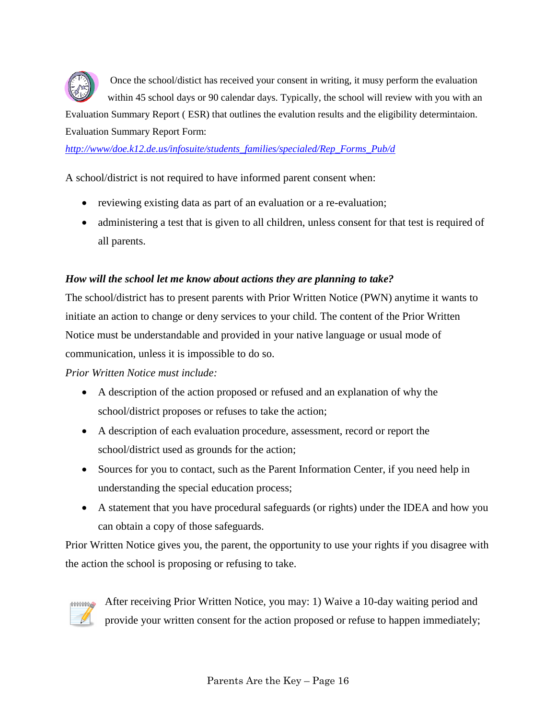

Once the school/distict has received your consent in writing, it musy perform the evaluation within 45 school days or 90 calendar days. Typically, the school will review with you with an

Evaluation Summary Report ( ESR) that outlines the evalution results and the eligibility determintaion. Evaluation Summary Report Form:

*[http://www/doe.k12.de.us/infosuite/students\\_families/specialed/Rep\\_Forms\\_Pub/d](http://www/doe.k12.de.us/infosuite/students_families/specialed/Rep_Forms_Pub/d)*

A school/district is not required to have informed parent consent when:

- reviewing existing data as part of an evaluation or a re-evaluation;
- administering a test that is given to all children, unless consent for that test is required of all parents.

#### *How will the school let me know about actions they are planning to take?*

The school/district has to present parents with Prior Written Notice (PWN) anytime it wants to initiate an action to change or deny services to your child. The content of the Prior Written Notice must be understandable and provided in your native language or usual mode of communication, unless it is impossible to do so.

*Prior Written Notice must include:*

- A description of the action proposed or refused and an explanation of why the school/district proposes or refuses to take the action;
- A description of each evaluation procedure, assessment, record or report the school/district used as grounds for the action;
- Sources for you to contact, such as the Parent Information Center, if you need help in understanding the special education process;
- A statement that you have procedural safeguards (or rights) under the IDEA and how you can obtain a copy of those safeguards.

Prior Written Notice gives you, the parent, the opportunity to use your rights if you disagree with the action the school is proposing or refusing to take.



<span id="page-19-0"></span>After receiving Prior Written Notice, you may: 1) Waive a 10-day waiting period and provide your written consent for the action proposed or refuse to happen immediately;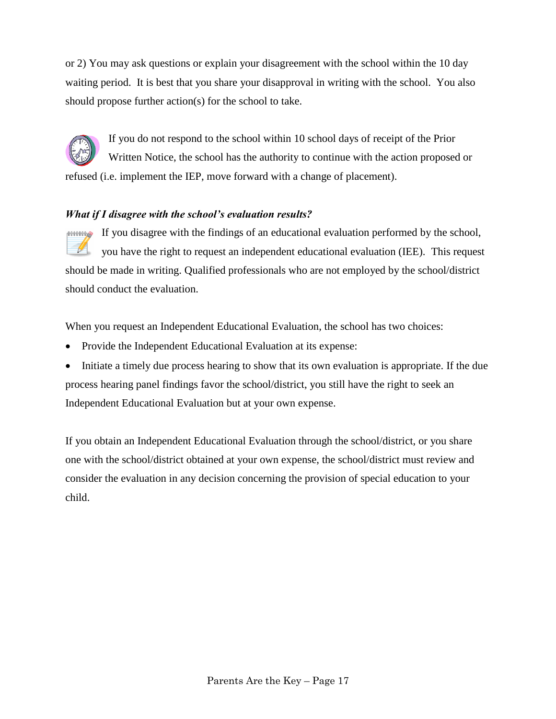or 2) You may ask questions or explain your disagreement with the school within the 10 day waiting period. It is best that you share your disapproval in writing with the school. You also should propose further action(s) for the school to take.

## If you do not respond to the school within 10 school days of receipt of the Prior Written Notice, the school has the authority to continue with the action proposed or refused (i.e. implement the IEP, move forward with a change of placement).

### *What if I disagree with the school's evaluation results?*

If you disagree with the findings of an educational evaluation performed by the school, **HHHHHA**  $\mathscr{Q}$ you have the right to request an independent educational evaluation (IEE). This request should be made in writing. Qualified professionals who are not employed by the school/district should conduct the evaluation.

When you request an Independent Educational Evaluation, the school has two choices:

- Provide the Independent Educational Evaluation at its expense:
- Initiate a timely due process hearing to show that its own evaluation is appropriate. If the due process hearing panel findings favor the school/district, you still have the right to seek an Independent Educational Evaluation but at your own expense.

If you obtain an Independent Educational Evaluation through the school/district, or you share one with the school/district obtained at your own expense, the school/district must review and consider the evaluation in any decision concerning the provision of special education to your child.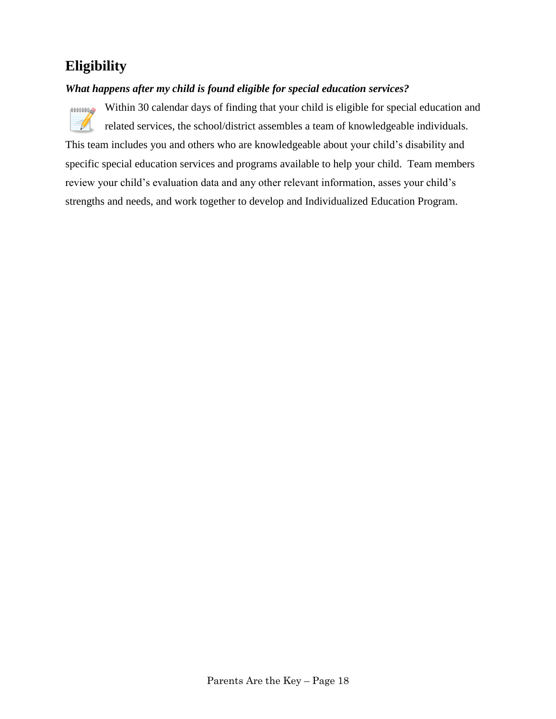## **Eligibility**

### *What happens after my child is found eligible for special education services?*



<span id="page-21-0"></span>Within 30 calendar days of finding that your child is eligible for special education and related services, the school/district assembles a team of knowledgeable individuals.

This team includes you and others who are knowledgeable about your child's disability and specific special education services and programs available to help your child. Team members review your child's evaluation data and any other relevant information, asses your child's strengths and needs, and work together to develop and Individualized Education Program.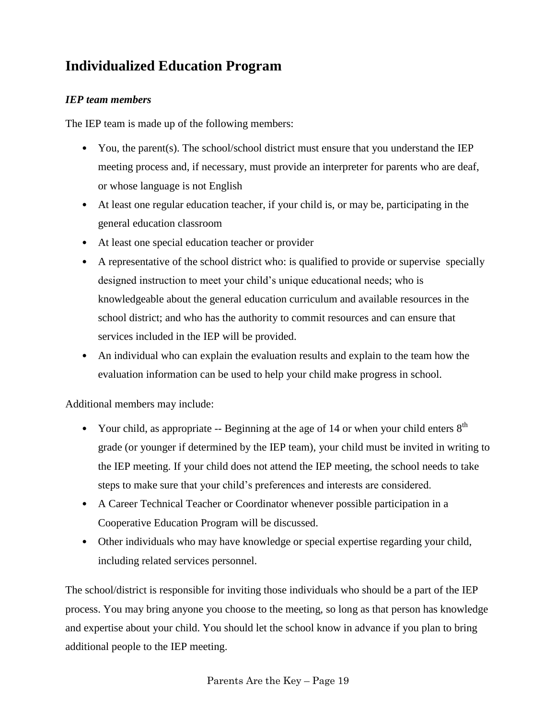## **Individualized Education Program**

### *IEP team members*

The IEP team is made up of the following members:

- You, the parent(s). The school/school district must ensure that you understand the IEP meeting process and, if necessary, must provide an interpreter for parents who are deaf, or whose language is not English
- At least one regular education teacher, if your child is, or may be, participating in the general education classroom
- At least one special education teacher or provider
- A representative of the school district who: is qualified to provide or supervise specially designed instruction to meet your child's unique educational needs; who is knowledgeable about the general education curriculum and available resources in the school district; and who has the authority to commit resources and can ensure that services included in the IEP will be provided.
- An individual who can explain the evaluation results and explain to the team how the evaluation information can be used to help your child make progress in school.

Additional members may include:

- Your child, as appropriate -- Beginning at the age of 14 or when your child enters  $8<sup>th</sup>$ grade (or younger if determined by the IEP team), your child must be invited in writing to the IEP meeting. If your child does not attend the IEP meeting, the school needs to take steps to make sure that your child's preferences and interests are considered.
- A Career Technical Teacher or Coordinator whenever possible participation in a Cooperative Education Program will be discussed.
- Other individuals who may have knowledge or special expertise regarding your child, including related services personnel.

The school/district is responsible for inviting those individuals who should be a part of the IEP process. You may bring anyone you choose to the meeting, so long as that person has knowledge and expertise about your child. You should let the school know in advance if you plan to bring additional people to the IEP meeting.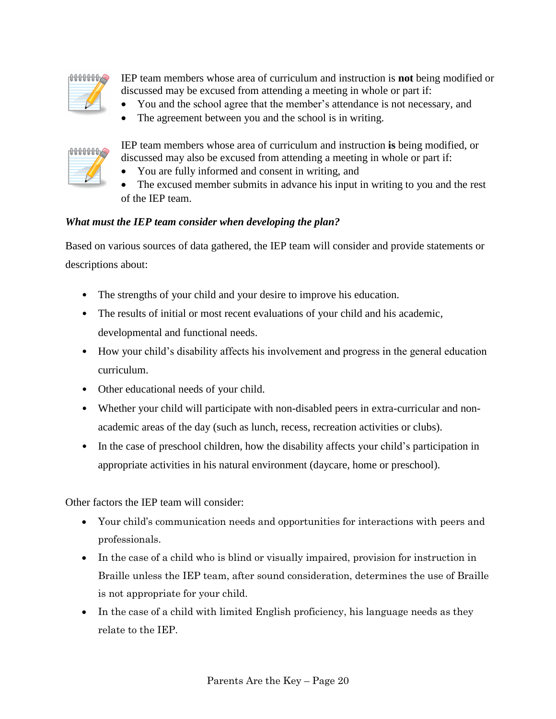

IEP team members whose area of curriculum and instruction is **not** being modified or discussed may be excused from attending a meeting in whole or part if:

- You and the school agree that the member's attendance is not necessary, and
- The agreement between you and the school is in writing.



IEP team members whose area of curriculum and instruction **is** being modified, or discussed may also be excused from attending a meeting in whole or part if:

- You are fully informed and consent in writing, and
- The excused member submits in advance his input in writing to you and the rest of the IEP team.

### <span id="page-23-0"></span>*What must the IEP team consider when developing the plan?*

Based on various sources of data gathered, the IEP team will consider and provide statements or descriptions about:

- The strengths of your child and your desire to improve his education.
- The results of initial or most recent evaluations of your child and his academic, developmental and functional needs.
- How your child's disability affects his involvement and progress in the general education curriculum.
- Other educational needs of your child.
- Whether your child will participate with non-disabled peers in extra-curricular and nonacademic areas of the day (such as lunch, recess, recreation activities or clubs).
- In the case of preschool children, how the disability affects your child's participation in appropriate activities in his natural environment (daycare, home or preschool).

Other factors the IEP team will consider:

- Your child's communication needs and opportunities for interactions with peers and professionals.
- In the case of a child who is blind or visually impaired, provision for instruction in Braille unless the IEP team, after sound consideration, determines the use of Braille is not appropriate for your child.
- In the case of a child with limited English proficiency, his language needs as they relate to the IEP.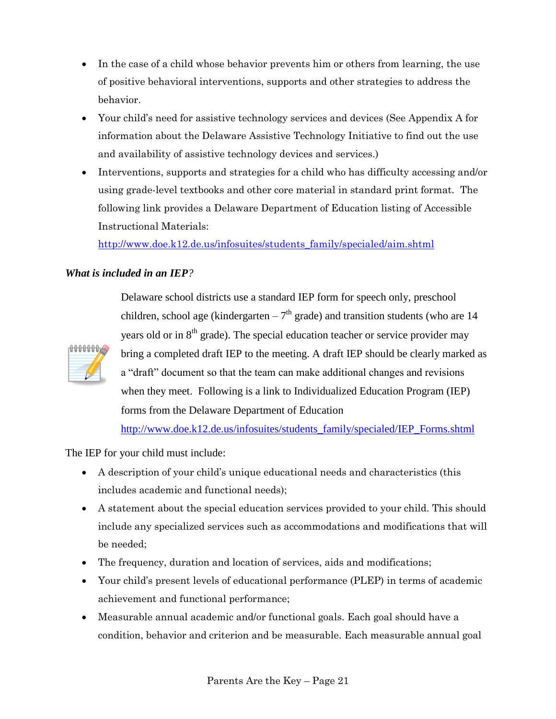- In the case of a child whose behavior prevents him or others from learning, the use of positive behavioral interventions, supports and other strategies to address the behavior.
- Your child's need for assistive technology services and devices (See Appendix A for information about the Delaware Assistive Technology Initiative to find out the use and availability of assistive technology devices and services.)
- Interventions, supports and strategies for a child who has difficulty accessing and/or using grade-level textbooks and other core material in standard print format. The following link provides a Delaware Department of Education listing of Accessible Instructional Materials:

[http://www.doe.k12.de.us/infosuites/students\\_family/specialed/aim.shtml](http://www.doe.k12.de.us/infosuites/students_family/specialed/aim.shtml)

### *What is included in an IEP?*



<span id="page-24-0"></span>Delaware school districts use a standard IEP form for speech only, preschool children, school age (kindergarten  $-7<sup>th</sup>$  grade) and transition students (who are 14 years old or in  $8<sup>th</sup>$  grade). The special education teacher or service provider may bring a completed draft IEP to the meeting. A draft IEP should be clearly marked as a "draft" document so that the team can make additional changes and revisions when they meet. Following is a link to Individualized Education Program (IEP) forms from the Delaware Department of Education

[http://www.doe.k12.de.us/infosuites/students\\_family/specialed/IEP\\_Forms.shtml](http://www.doe.k12.de.us/infosuites/students_family/specialed/IEP_Forms.shtml)

The IEP for your child must include:

- A description of your child's unique educational needs and characteristics (this includes academic and functional needs);
- A statement about the special education services provided to your child. This should include any specialized services such as accommodations and modifications that will be needed;
- The frequency, duration and location of services, aids and modifications;
- Your child's present levels of educational performance (PLEP) in terms of academic achievement and functional performance;
- Measurable annual academic and/or functional goals. Each goal should have a condition, behavior and criterion and be measurable. Each measurable annual goal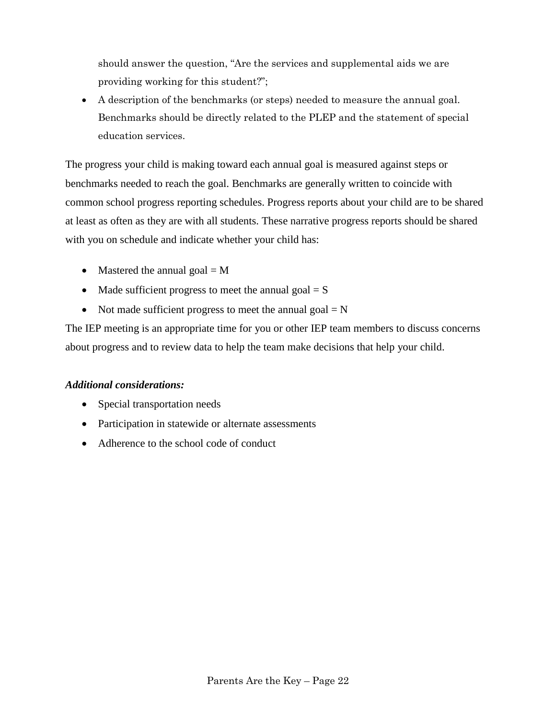should answer the question, "Are the services and supplemental aids we are providing working for this student?";

 A description of the benchmarks (or steps) needed to measure the annual goal. Benchmarks should be directly related to the PLEP and the statement of special education services.

The progress your child is making toward each annual goal is measured against steps or benchmarks needed to reach the goal. Benchmarks are generally written to coincide with common school progress reporting schedules. Progress reports about your child are to be shared at least as often as they are with all students. These narrative progress reports should be shared with you on schedule and indicate whether your child has:

- Mastered the annual goal  $= M$
- Made sufficient progress to meet the annual goal  $= S$
- Not made sufficient progress to meet the annual goal  $= N$

The IEP meeting is an appropriate time for you or other IEP team members to discuss concerns about progress and to review data to help the team make decisions that help your child.

### *Additional considerations:*

- Special transportation needs
- Participation in statewide or alternate assessments
- <span id="page-25-0"></span>• Adherence to the school code of conduct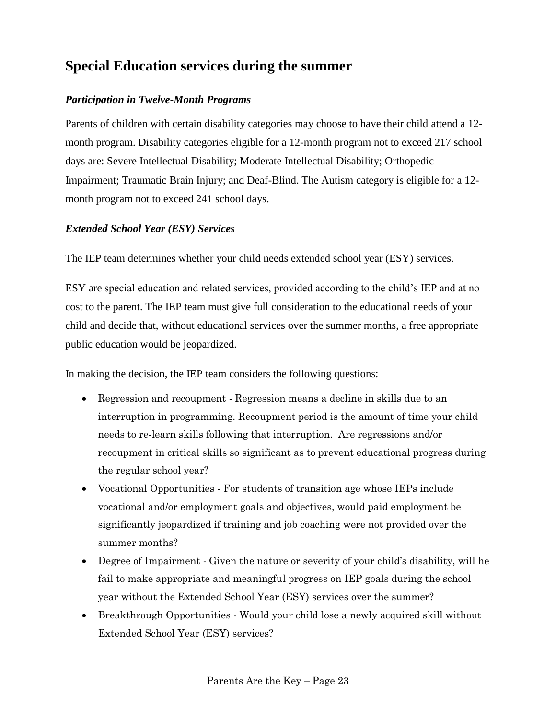## **Special Education services during the summer**

### *Participation in Twelve-Month Programs*

Parents of children with certain disability categories may choose to have their child attend a 12 month program. Disability categories eligible for a 12-month program not to exceed 217 school days are: Severe Intellectual Disability; Moderate Intellectual Disability; Orthopedic Impairment; Traumatic Brain Injury; and Deaf-Blind. The Autism category is eligible for a 12 month program not to exceed 241 school days.

### *Extended School Year (ESY) Services*

The IEP team determines whether your child needs extended school year (ESY) services.

ESY are special education and related services, provided according to the child's IEP and at no cost to the parent. The IEP team must give full consideration to the educational needs of your child and decide that, without educational services over the summer months, a free appropriate public education would be jeopardized.

In making the decision, the IEP team considers the following questions:

- Regression and recoupment Regression means a decline in skills due to an interruption in programming. Recoupment period is the amount of time your child needs to re-learn skills following that interruption. Are regressions and/or recoupment in critical skills so significant as to prevent educational progress during the regular school year?
- Vocational Opportunities For students of transition age whose IEPs include vocational and/or employment goals and objectives, would paid employment be significantly jeopardized if training and job coaching were not provided over the summer months?
- Degree of Impairment Given the nature or severity of your child's disability, will he fail to make appropriate and meaningful progress on IEP goals during the school year without the Extended School Year (ESY) services over the summer?
- Breakthrough Opportunities Would your child lose a newly acquired skill without Extended School Year (ESY) services?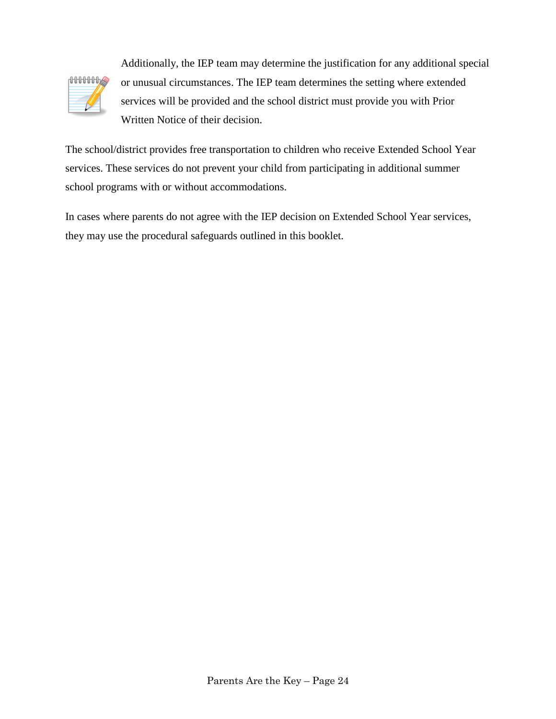

Additionally, the IEP team may determine the justification for any additional special or unusual circumstances. The IEP team determines the setting where extended services will be provided and the school district must provide you with Prior Written Notice of their decision.

The school/district provides free transportation to children who receive Extended School Year services. These services do not prevent your child from participating in additional summer school programs with or without accommodations.

<span id="page-27-0"></span>In cases where parents do not agree with the IEP decision on Extended School Year services, they may use the procedural safeguards outlined in this booklet.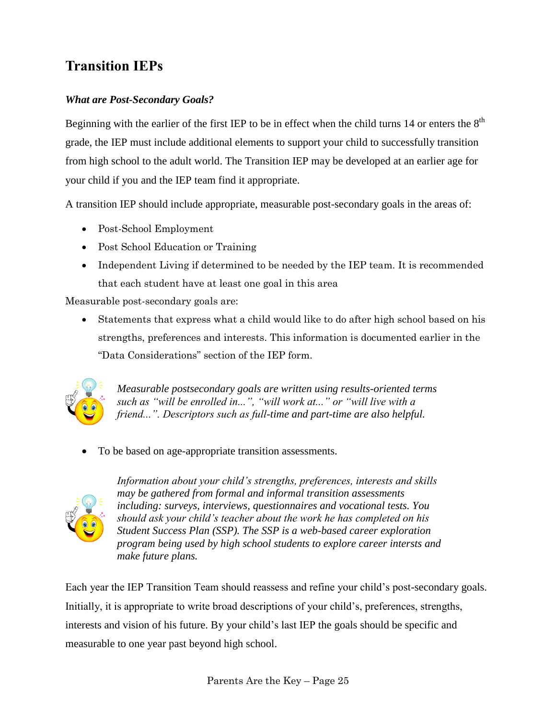## **Transition IEPs**

### *What are Post-Secondary Goals?*

Beginning with the earlier of the first IEP to be in effect when the child turns 14 or enters the  $8<sup>th</sup>$ grade, the IEP must include additional elements to support your child to successfully transition from high school to the adult world. The Transition IEP may be developed at an earlier age for your child if you and the IEP team find it appropriate.

A transition IEP should include appropriate, measurable post-secondary goals in the areas of:

- Post-School Employment
- Post School Education or Training
- Independent Living if determined to be needed by the IEP team. It is recommended that each student have at least one goal in this area

Measurable post-secondary goals are:

 Statements that express what a child would like to do after high school based on his strengths, preferences and interests. This information is documented earlier in the "Data Considerations" section of the IEP form.



*Measurable postsecondary goals are written using results-oriented terms such as "will be enrolled in...", "will work at..." or "will live with a friend...". Descriptors such as full-time and part-time are also helpful.*

• To be based on age-appropriate transition assessments.



*Information about your child's strengths, preferences, interests and skills may be gathered from formal and informal transition assessments including: surveys, interviews, questionnaires and vocational tests. You should ask your child's teacher about the work he has completed on his Student Success Plan (SSP). The SSP is a web-based career exploration program being used by high school students to explore career intersts and make future plans.*

Each year the IEP Transition Team should reassess and refine your child's post-secondary goals. Initially, it is appropriate to write broad descriptions of your child's, preferences, strengths, interests and vision of his future. By your child's last IEP the goals should be specific and measurable to one year past beyond high school.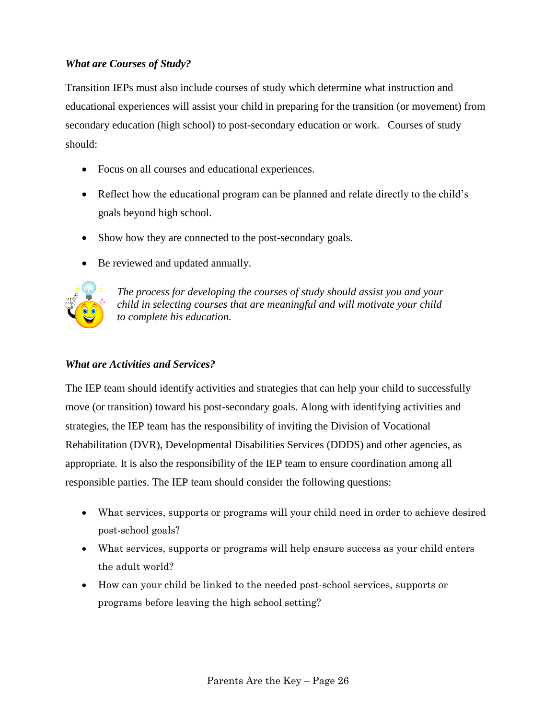### *What are Courses of Study?*

Transition IEPs must also include courses of study which determine what instruction and educational experiences will assist your child in preparing for the transition (or movement) from secondary education (high school) to post-secondary education or work. Courses of study should:

- Focus on all courses and educational experiences.
- Reflect how the educational program can be planned and relate directly to the child's goals beyond high school.
- Show how they are connected to the post-secondary goals.
- Be reviewed and updated annually.



*The process for developing the courses of study should assist you and your child in selecting courses that are meaningful and will motivate your child to complete his education.*

### *What are Activities and Services?*

The IEP team should identify activities and strategies that can help your child to successfully move (or transition) toward his post-secondary goals. Along with identifying activities and strategies, the IEP team has the responsibility of inviting the Division of Vocational Rehabilitation (DVR), Developmental Disabilities Services (DDDS) and other agencies, as appropriate. It is also the responsibility of the IEP team to ensure coordination among all responsible parties. The IEP team should consider the following questions:

- What services, supports or programs will your child need in order to achieve desired post-school goals?
- What services, supports or programs will help ensure success as your child enters the adult world?
- How can your child be linked to the needed post-school services, supports or programs before leaving the high school setting?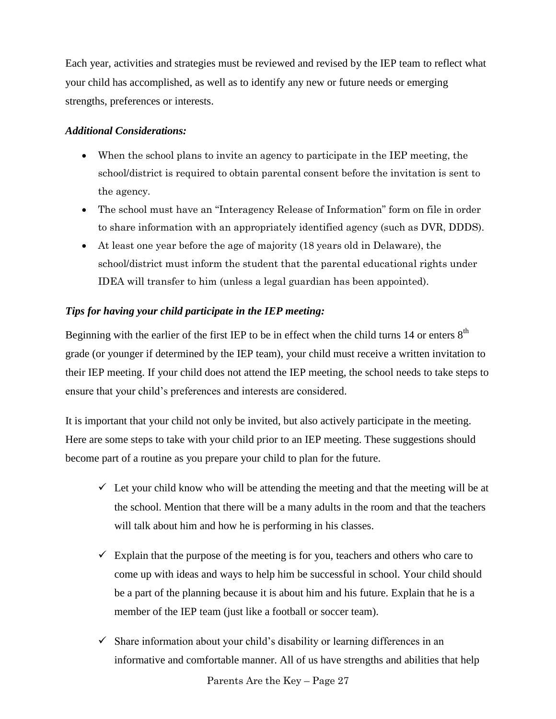Each year, activities and strategies must be reviewed and revised by the IEP team to reflect what your child has accomplished, as well as to identify any new or future needs or emerging strengths, preferences or interests.

#### *Additional Considerations:*

- When the school plans to invite an agency to participate in the IEP meeting, the school/district is required to obtain parental consent before the invitation is sent to the agency.
- The school must have an "Interagency Release of Information" form on file in order to share information with an appropriately identified agency (such as DVR, DDDS).
- At least one year before the age of majority (18 years old in Delaware), the school/district must inform the student that the parental educational rights under IDEA will transfer to him (unless a legal guardian has been appointed).

### *Tips for having your child participate in the IEP meeting:*

Beginning with the earlier of the first IEP to be in effect when the child turns 14 or enters  $8<sup>th</sup>$ grade (or younger if determined by the IEP team), your child must receive a written invitation to their IEP meeting. If your child does not attend the IEP meeting, the school needs to take steps to ensure that your child's preferences and interests are considered.

It is important that your child not only be invited, but also actively participate in the meeting. Here are some steps to take with your child prior to an IEP meeting. These suggestions should become part of a routine as you prepare your child to plan for the future.

- $\checkmark$  Let your child know who will be attending the meeting and that the meeting will be at the school. Mention that there will be a many adults in the room and that the teachers will talk about him and how he is performing in his classes.
- $\checkmark$  Explain that the purpose of the meeting is for you, teachers and others who care to come up with ideas and ways to help him be successful in school. Your child should be a part of the planning because it is about him and his future. Explain that he is a member of the IEP team (just like a football or soccer team).
- $\checkmark$  Share information about your child's disability or learning differences in an informative and comfortable manner. All of us have strengths and abilities that help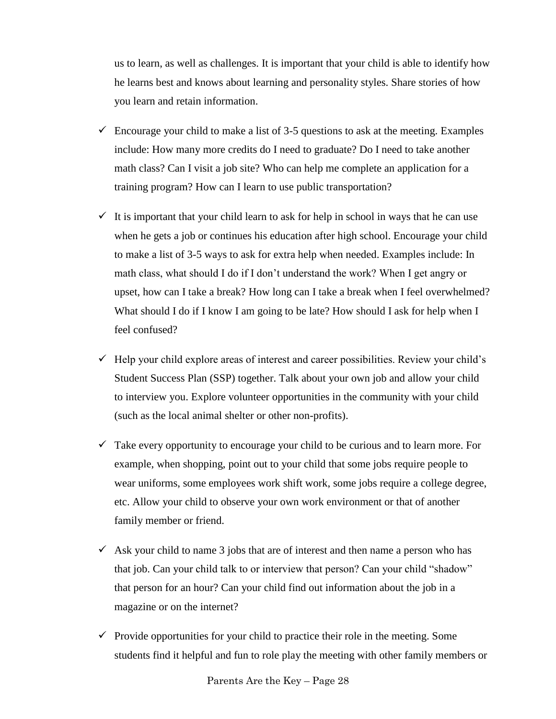us to learn, as well as challenges. It is important that your child is able to identify how he learns best and knows about learning and personality styles. Share stories of how you learn and retain information.

- $\checkmark$  Encourage your child to make a list of 3-5 questions to ask at the meeting. Examples include: How many more credits do I need to graduate? Do I need to take another math class? Can I visit a job site? Who can help me complete an application for a training program? How can I learn to use public transportation?
- $\checkmark$  It is important that your child learn to ask for help in school in ways that he can use when he gets a job or continues his education after high school. Encourage your child to make a list of 3-5 ways to ask for extra help when needed. Examples include: In math class, what should I do if I don't understand the work? When I get angry or upset, how can I take a break? How long can I take a break when I feel overwhelmed? What should I do if I know I am going to be late? How should I ask for help when I feel confused?
- $\checkmark$  Help your child explore areas of interest and career possibilities. Review your child's Student Success Plan (SSP) together. Talk about your own job and allow your child to interview you. Explore volunteer opportunities in the community with your child (such as the local animal shelter or other non-profits).
- $\checkmark$  Take every opportunity to encourage your child to be curious and to learn more. For example, when shopping, point out to your child that some jobs require people to wear uniforms, some employees work shift work, some jobs require a college degree, etc. Allow your child to observe your own work environment or that of another family member or friend.
- $\checkmark$  Ask your child to name 3 jobs that are of interest and then name a person who has that job. Can your child talk to or interview that person? Can your child "shadow" that person for an hour? Can your child find out information about the job in a magazine or on the internet?
- $\checkmark$  Provide opportunities for your child to practice their role in the meeting. Some students find it helpful and fun to role play the meeting with other family members or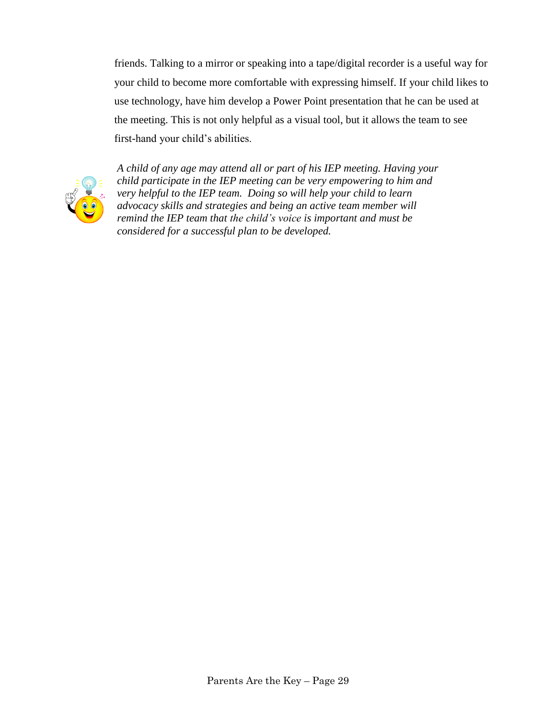friends. Talking to a mirror or speaking into a tape/digital recorder is a useful way for your child to become more comfortable with expressing himself. If your child likes to use technology, have him develop a Power Point presentation that he can be used at the meeting. This is not only helpful as a visual tool, but it allows the team to see first-hand your child's abilities.



*A child of any age may attend all or part of his IEP meeting. Having your child participate in the IEP meeting can be very empowering to him and very helpful to the IEP team. Doing so will help your child to learn advocacy skills and strategies and being an active team member will remind the IEP team that the child's voice is important and must be considered for a successful plan to be developed.*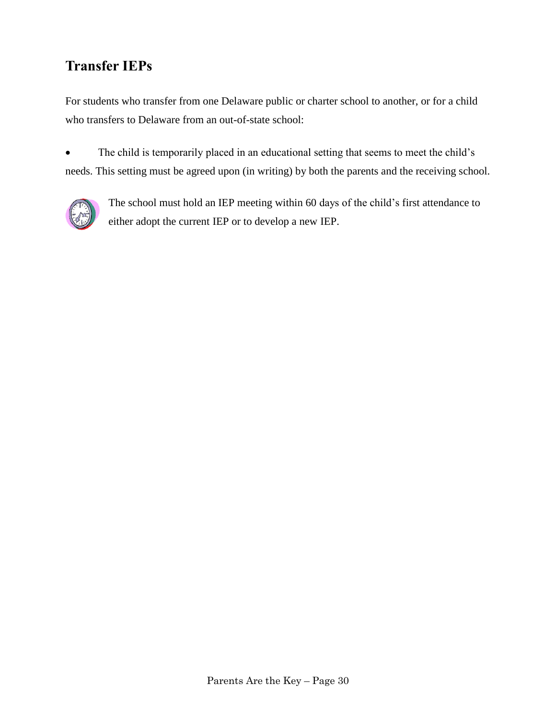## **Transfer IEPs**

For students who transfer from one Delaware public or charter school to another, or for a child who transfers to Delaware from an out-of-state school:

• The child is temporarily placed in an educational setting that seems to meet the child's needs. This setting must be agreed upon (in writing) by both the parents and the receiving school.

<span id="page-33-0"></span>

The school must hold an IEP meeting within 60 days of the child's first attendance to either adopt the current IEP or to develop a new IEP.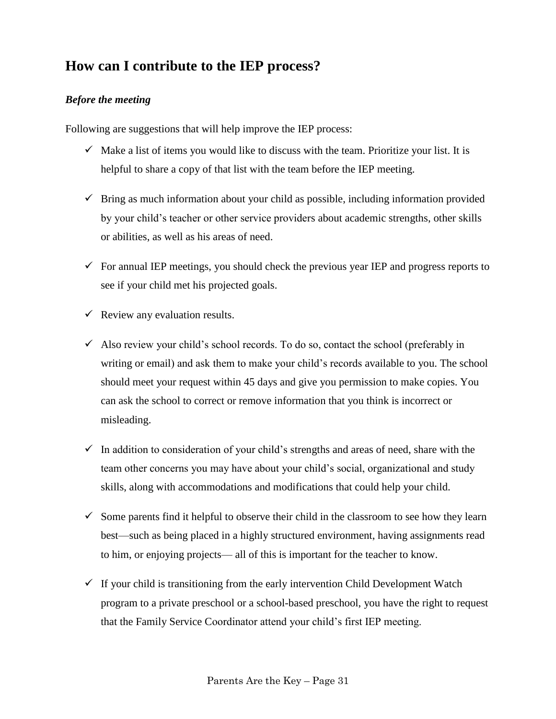## **How can I contribute to the IEP process?**

### <span id="page-34-0"></span>*Before the meeting*

Following are suggestions that will help improve the IEP process:

- $\checkmark$  Make a list of items you would like to discuss with the team. Prioritize your list. It is helpful to share a copy of that list with the team before the IEP meeting.
- $\checkmark$  Bring as much information about your child as possible, including information provided by your child's teacher or other service providers about academic strengths, other skills or abilities, as well as his areas of need.
- $\checkmark$  For annual IEP meetings, you should check the previous year IEP and progress reports to see if your child met his projected goals.
- $\checkmark$  Review any evaluation results.
- $\checkmark$  Also review your child's school records. To do so, contact the school (preferably in writing or email) and ask them to make your child's records available to you. The school should meet your request within 45 days and give you permission to make copies. You can ask the school to correct or remove information that you think is incorrect or misleading.
- $\checkmark$  In addition to consideration of your child's strengths and areas of need, share with the team other concerns you may have about your child's social, organizational and study skills, along with accommodations and modifications that could help your child.
- $\checkmark$  Some parents find it helpful to observe their child in the classroom to see how they learn best—such as being placed in a highly structured environment, having assignments read to him, or enjoying projects— all of this is important for the teacher to know.
- $\checkmark$  If your child is transitioning from the early intervention Child Development Watch program to a private preschool or a school-based preschool, you have the right to request that the Family Service Coordinator attend your child's first IEP meeting.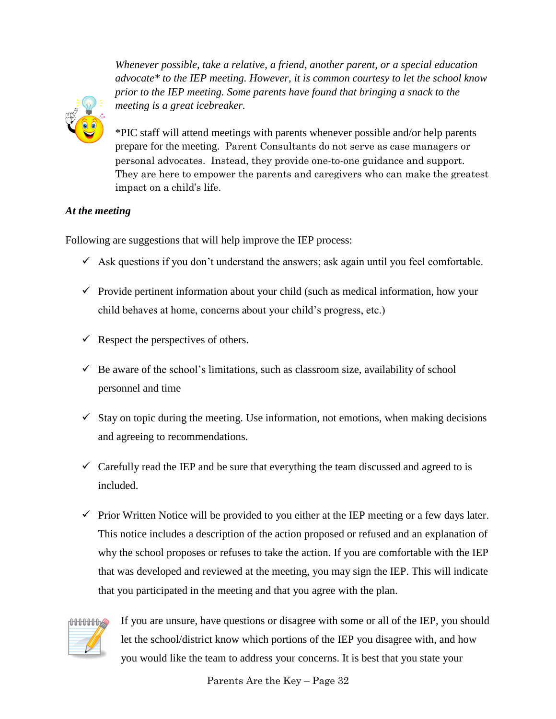*Whenever possible, take a relative, a friend, another parent, or a special education advocate\* to the IEP meeting. However, it is common courtesy to let the school know prior to the IEP meeting. Some parents have found that bringing a snack to the meeting is a great icebreaker.*



\*PIC staff will attend meetings with parents whenever possible and/or help parents prepare for the meeting. Parent Consultants do not serve as case managers or personal advocates. Instead, they provide one-to-one guidance and support. They are here to empower the parents and caregivers who can make the greatest impact on a child's life.

### <span id="page-35-0"></span>*At the meeting*

Following are suggestions that will help improve the IEP process:

- $\checkmark$  Ask questions if you don't understand the answers; ask again until you feel comfortable.
- $\checkmark$  Provide pertinent information about your child (such as medical information, how your child behaves at home, concerns about your child's progress, etc.)
- $\checkmark$  Respect the perspectives of others.
- $\checkmark$  Be aware of the school's limitations, such as classroom size, availability of school personnel and time
- $\checkmark$  Stay on topic during the meeting. Use information, not emotions, when making decisions and agreeing to recommendations.
- $\checkmark$  Carefully read the IEP and be sure that everything the team discussed and agreed to is included.
- $\checkmark$  Prior Written Notice will be provided to you either at the IEP meeting or a few days later. This notice includes a description of the action proposed or refused and an explanation of why the school proposes or refuses to take the action. If you are comfortable with the IEP that was developed and reviewed at the meeting, you may sign the IEP. This will indicate that you participated in the meeting and that you agree with the plan.



If you are unsure, have questions or disagree with some or all of the IEP, you should let the school/district know which portions of the IEP you disagree with, and how you would like the team to address your concerns. It is best that you state your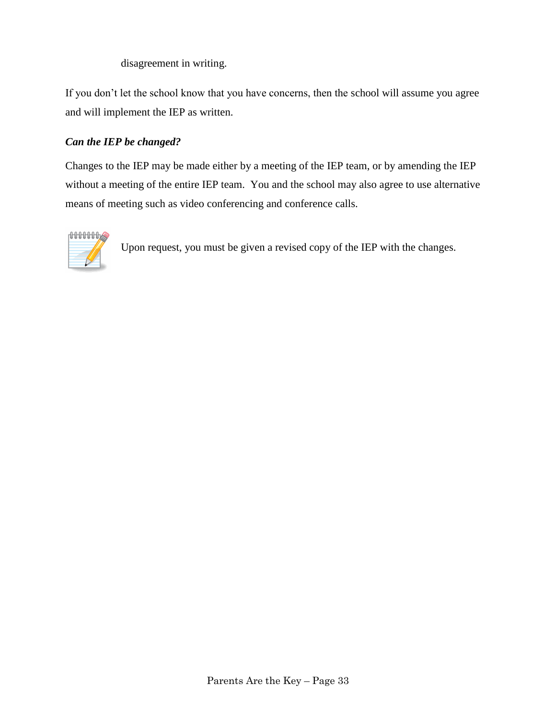disagreement in writing.

If you don't let the school know that you have concerns, then the school will assume you agree and will implement the IEP as written.

### <span id="page-36-0"></span>*Can the IEP be changed?*

Changes to the IEP may be made either by a meeting of the IEP team, or by amending the IEP without a meeting of the entire IEP team. You and the school may also agree to use alternative means of meeting such as video conferencing and conference calls.

<span id="page-36-1"></span>

Upon request, you must be given a revised copy of the IEP with the changes.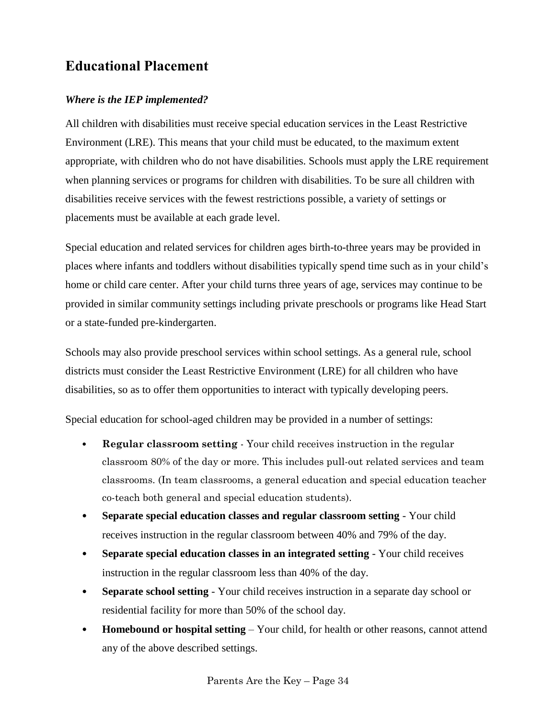## **Educational Placement**

### <span id="page-37-0"></span>*Where is the IEP implemented?*

All children with disabilities must receive special education services in the Least Restrictive Environment (LRE). This means that your child must be educated, to the maximum extent appropriate, with children who do not have disabilities. Schools must apply the LRE requirement when planning services or programs for children with disabilities. To be sure all children with disabilities receive services with the fewest restrictions possible, a variety of settings or placements must be available at each grade level.

Special education and related services for children ages birth-to-three years may be provided in places where infants and toddlers without disabilities typically spend time such as in your child's home or child care center. After your child turns three years of age, services may continue to be provided in similar community settings including private preschools or programs like Head Start or a state-funded pre-kindergarten.

Schools may also provide preschool services within school settings. As a general rule, school districts must consider the Least Restrictive Environment (LRE) for all children who have disabilities, so as to offer them opportunities to interact with typically developing peers.

Special education for school-aged children may be provided in a number of settings:

- **Regular classroom setting** Your child receives instruction in the regular classroom 80% of the day or more. This includes pull-out related services and team classrooms. (In team classrooms, a general education and special education teacher co-teach both general and special education students).
- **Separate special education classes and regular classroom setting** Your child receives instruction in the regular classroom between 40% and 79% of the day.
- **Separate special education classes in an integrated setting** Your child receives instruction in the regular classroom less than 40% of the day.
- **Separate school setting** Your child receives instruction in a separate day school or residential facility for more than 50% of the school day.
- **Homebound or hospital setting** Your child, for health or other reasons, cannot attend any of the above described settings.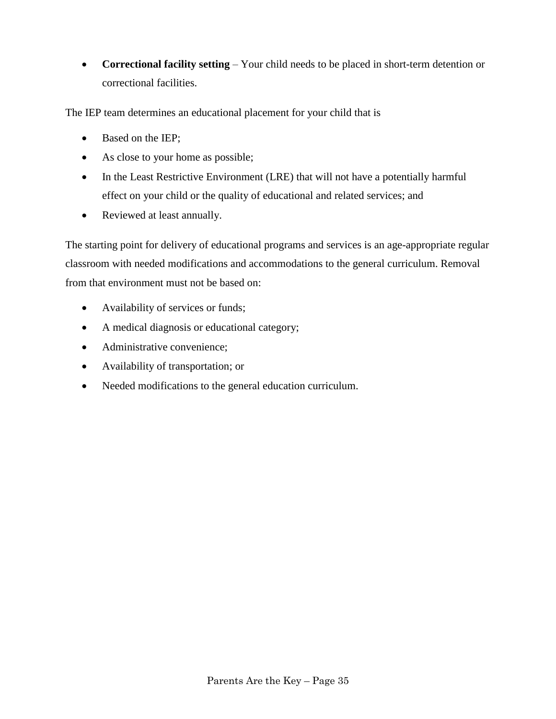**Correctional facility setting** – Your child needs to be placed in short-term detention or correctional facilities.

The IEP team determines an educational placement for your child that is

- Based on the IEP;
- As close to your home as possible;
- In the Least Restrictive Environment (LRE) that will not have a potentially harmful effect on your child or the quality of educational and related services; and
- Reviewed at least annually.

The starting point for delivery of educational programs and services is an age-appropriate regular classroom with needed modifications and accommodations to the general curriculum. Removal from that environment must not be based on:

- Availability of services or funds;
- A medical diagnosis or educational category;
- Administrative convenience;
- Availability of transportation; or
- <span id="page-38-0"></span>• Needed modifications to the general education curriculum.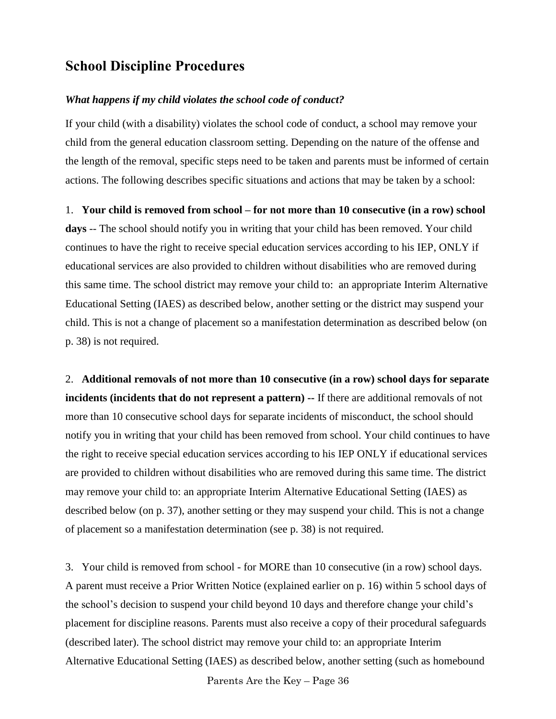## **School Discipline Procedures**

#### *What happens if my child violates the school code of conduct?*

If your child (with a disability) violates the school code of conduct, a school may remove your child from the general education classroom setting. Depending on the nature of the offense and the length of the removal, specific steps need to be taken and parents must be informed of certain actions. The following describes specific situations and actions that may be taken by a school:

#### 1. **Your child is removed from school – for not more than 10 consecutive (in a row) school**

**days** -- The school should notify you in writing that your child has been removed. Your child continues to have the right to receive special education services according to his IEP, ONLY if educational services are also provided to children without disabilities who are removed during this same time. The school district may remove your child to: an appropriate Interim Alternative Educational Setting (IAES) as described below, another setting or the district may suspend your child. This is not a change of placement so a manifestation determination as described below (on p. 38) is not required.

2. **Additional removals of not more than 10 consecutive (in a row) school days for separate incidents (incidents that do not represent a pattern) --** If there are additional removals of not more than 10 consecutive school days for separate incidents of misconduct, the school should notify you in writing that your child has been removed from school. Your child continues to have the right to receive special education services according to his IEP ONLY if educational services are provided to children without disabilities who are removed during this same time. The district may remove your child to: an appropriate Interim Alternative Educational Setting (IAES) as described below (on p. 37), another setting or they may suspend your child. This is not a change of placement so a manifestation determination (see p. 38) is not required.

3. Your child is removed from school - for MORE than 10 consecutive (in a row) school days. A parent must receive a Prior Written Notice (explained earlier on p. 16) within 5 school days of the school's decision to suspend your child beyond 10 days and therefore change your child's placement for discipline reasons. Parents must also receive a copy of their procedural safeguards (described later). The school district may remove your child to: an appropriate Interim Alternative Educational Setting (IAES) as described below, another setting (such as homebound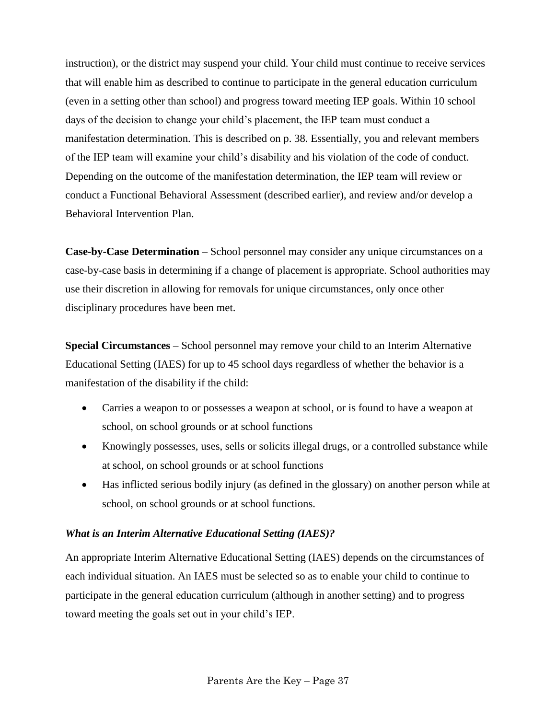instruction), or the district may suspend your child. Your child must continue to receive services that will enable him as described to continue to participate in the general education curriculum (even in a setting other than school) and progress toward meeting IEP goals. Within 10 school days of the decision to change your child's placement, the IEP team must conduct a manifestation determination. This is described on p. 38. Essentially, you and relevant members of the IEP team will examine your child's disability and his violation of the code of conduct. Depending on the outcome of the manifestation determination, the IEP team will review or conduct a Functional Behavioral Assessment (described earlier), and review and/or develop a Behavioral Intervention Plan.

**Case-by-Case Determination** – School personnel may consider any unique circumstances on a case-by-case basis in determining if a change of placement is appropriate. School authorities may use their discretion in allowing for removals for unique circumstances, only once other disciplinary procedures have been met.

**Special Circumstances** – School personnel may remove your child to an Interim Alternative Educational Setting (IAES) for up to 45 school days regardless of whether the behavior is a manifestation of the disability if the child:

- Carries a weapon to or possesses a weapon at school, or is found to have a weapon at school, on school grounds or at school functions
- Knowingly possesses, uses, sells or solicits illegal drugs, or a controlled substance while at school, on school grounds or at school functions
- Has inflicted serious bodily injury (as defined in the glossary) on another person while at school, on school grounds or at school functions.

### <span id="page-40-0"></span>*What is an Interim Alternative Educational Setting (IAES)?*

An appropriate Interim Alternative Educational Setting (IAES) depends on the circumstances of each individual situation. An IAES must be selected so as to enable your child to continue to participate in the general education curriculum (although in another setting) and to progress toward meeting the goals set out in your child's IEP.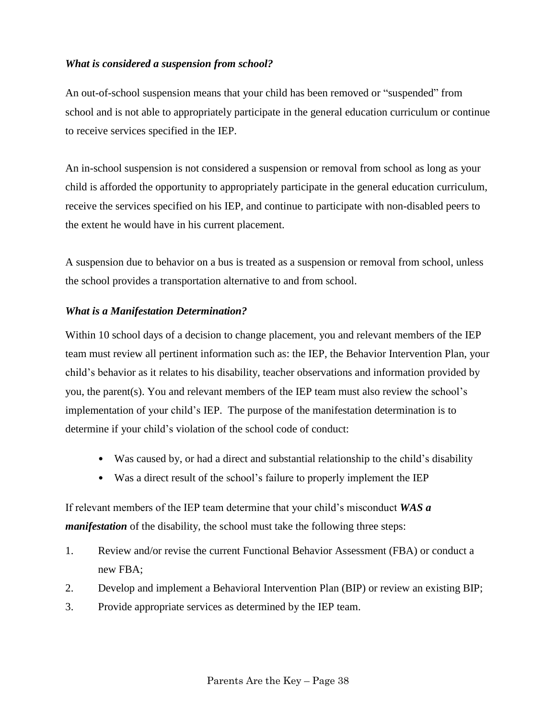#### *What is considered a suspension from school?*

An out-of-school suspension means that your child has been removed or "suspended" from school and is not able to appropriately participate in the general education curriculum or continue to receive services specified in the IEP.

An in-school suspension is not considered a suspension or removal from school as long as your child is afforded the opportunity to appropriately participate in the general education curriculum, receive the services specified on his IEP, and continue to participate with non-disabled peers to the extent he would have in his current placement.

A suspension due to behavior on a bus is treated as a suspension or removal from school, unless the school provides a transportation alternative to and from school.

#### *What is a Manifestation Determination?*

Within 10 school days of a decision to change placement, you and relevant members of the IEP team must review all pertinent information such as: the IEP, the Behavior Intervention Plan, your child's behavior as it relates to his disability, teacher observations and information provided by you, the parent(s). You and relevant members of the IEP team must also review the school's implementation of your child's IEP. The purpose of the manifestation determination is to determine if your child's violation of the school code of conduct:

- Was caused by, or had a direct and substantial relationship to the child's disability
- Was a direct result of the school's failure to properly implement the IEP

If relevant members of the IEP team determine that your child's misconduct *WAS a manifestation* of the disability, the school must take the following three steps:

- 1. Review and/or revise the current Functional Behavior Assessment (FBA) or conduct a new FBA;
- 2. Develop and implement a Behavioral Intervention Plan (BIP) or review an existing BIP;
- 3. Provide appropriate services as determined by the IEP team.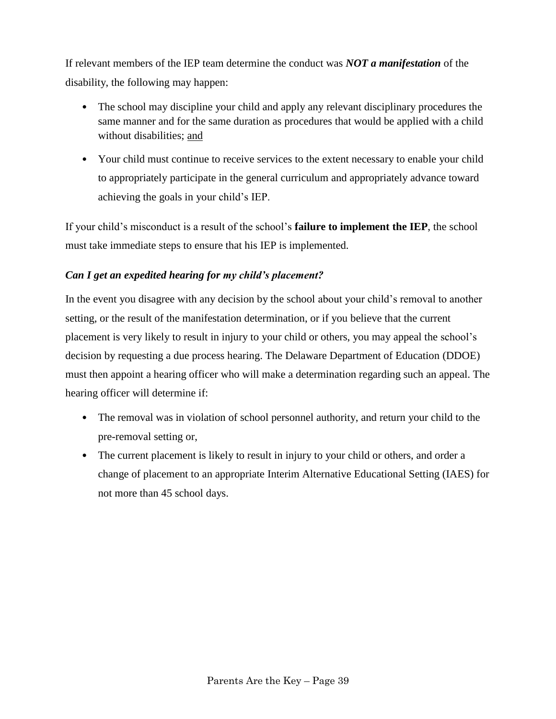If relevant members of the IEP team determine the conduct was *NOT a manifestation* of the disability, the following may happen:

- The school may discipline your child and apply any relevant disciplinary procedures the same manner and for the same duration as procedures that would be applied with a child without disabilities; and
- Your child must continue to receive services to the extent necessary to enable your child to appropriately participate in the general curriculum and appropriately advance toward achieving the goals in your child's IEP.

If your child's misconduct is a result of the school's **failure to implement the IEP**, the school must take immediate steps to ensure that his IEP is implemented.

### <span id="page-42-0"></span>*Can I get an expedited hearing for my child's placement?*

In the event you disagree with any decision by the school about your child's removal to another setting, or the result of the manifestation determination, or if you believe that the current placement is very likely to result in injury to your child or others, you may appeal the school's decision by requesting a due process hearing. The Delaware Department of Education (DDOE) must then appoint a hearing officer who will make a determination regarding such an appeal. The hearing officer will determine if:

- The removal was in violation of school personnel authority, and return your child to the pre-removal setting or,
- The current placement is likely to result in injury to your child or others, and order a change of placement to an appropriate Interim Alternative Educational Setting (IAES) for not more than 45 school days.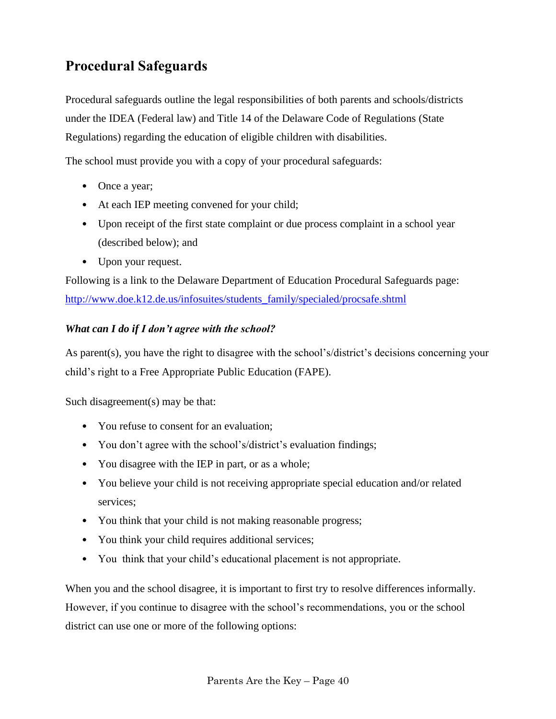## <span id="page-43-0"></span>**Procedural Safeguards**

Procedural safeguards outline the legal responsibilities of both parents and schools/districts under the IDEA (Federal law) and Title 14 of the Delaware Code of Regulations (State Regulations) regarding the education of eligible children with disabilities.

The school must provide you with a copy of your procedural safeguards:

- Once a year;
- At each IEP meeting convened for your child;
- Upon receipt of the first state complaint or due process complaint in a school year (described below); and
- Upon your request.

Following is a link to the Delaware Department of Education Procedural Safeguards page: [http://www.doe.k12.de.us/infosuites/students\\_family/specialed/procsafe.shtml](http://www.doe.k12.de.us/infosuites/students_family/specialed/procsafe.shtml)

### <span id="page-43-1"></span>*What can I do if I don't agree with the school?*

As parent(s), you have the right to disagree with the school's/district's decisions concerning your child's right to a Free Appropriate Public Education (FAPE).

Such disagreement(s) may be that:

- You refuse to consent for an evaluation:
- You don't agree with the school's/district's evaluation findings;
- You disagree with the IEP in part, or as a whole;
- You believe your child is not receiving appropriate special education and/or related services;
- You think that your child is not making reasonable progress;
- You think your child requires additional services;
- You think that your child's educational placement is not appropriate.

When you and the school disagree, it is important to first try to resolve differences informally. However, if you continue to disagree with the school's recommendations, you or the school district can use one or more of the following options: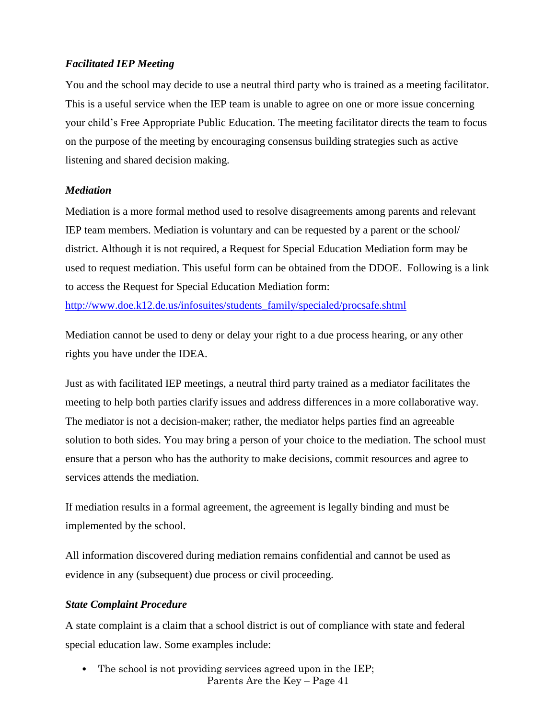#### <span id="page-44-0"></span>*Facilitated IEP Meeting*

You and the school may decide to use a neutral third party who is trained as a meeting facilitator. This is a useful service when the IEP team is unable to agree on one or more issue concerning your child's Free Appropriate Public Education. The meeting facilitator directs the team to focus on the purpose of the meeting by encouraging consensus building strategies such as active listening and shared decision making.

#### <span id="page-44-1"></span>*Mediation*

Mediation is a more formal method used to resolve disagreements among parents and relevant IEP team members. Mediation is voluntary and can be requested by a parent or the school/ district. Although it is not required, a Request for Special Education Mediation form may be used to request mediation. This useful form can be obtained from the DDOE. Following is a link to access the Request for Special Education Mediation form:

[http://www.doe.k12.de.us/infosuites/students\\_family/specialed/procsafe.shtml](http://www.doe.k12.de.us/infosuites/students_family/specialed/procsafe.shtml)

Mediation cannot be used to deny or delay your right to a due process hearing, or any other rights you have under the IDEA.

Just as with facilitated IEP meetings, a neutral third party trained as a mediator facilitates the meeting to help both parties clarify issues and address differences in a more collaborative way. The mediator is not a decision-maker; rather, the mediator helps parties find an agreeable solution to both sides. You may bring a person of your choice to the mediation. The school must ensure that a person who has the authority to make decisions, commit resources and agree to services attends the mediation.

If mediation results in a formal agreement, the agreement is legally binding and must be implemented by the school.

All information discovered during mediation remains confidential and cannot be used as evidence in any (subsequent) due process or civil proceeding.

### <span id="page-44-2"></span>*State Complaint Procedure*

A state complaint is a claim that a school district is out of compliance with state and federal special education law. Some examples include:

Parents Are the Key – Page 41 • The school is not providing services agreed upon in the IEP;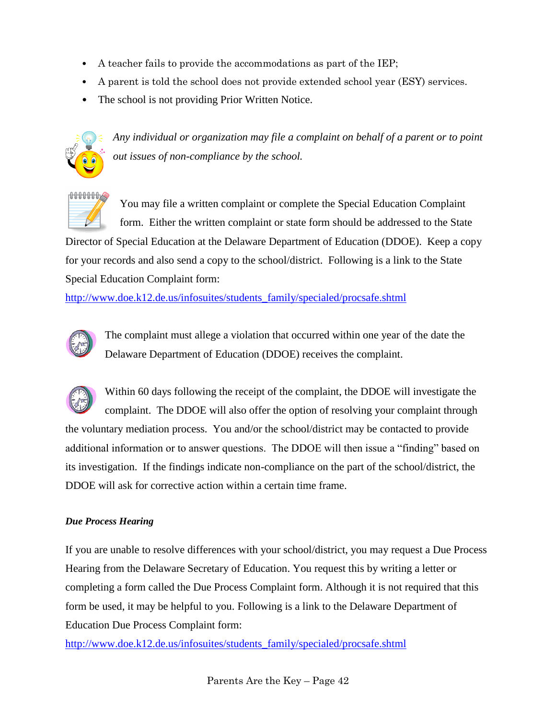- A teacher fails to provide the accommodations as part of the IEP;
- A parent is told the school does not provide extended school year (ESY) services.
- The school is not providing Prior Written Notice.



<span id="page-45-0"></span>*Any individual or organization may file a complaint on behalf of a parent or to point out issues of non-compliance by the school.*



You may file a written complaint or complete the Special Education Complaint form. Either the written complaint or state form should be addressed to the State

Director of Special Education at the Delaware Department of Education (DDOE). Keep a copy for your records and also send a copy to the school/district. Following is a link to the State Special Education Complaint form:

[http://www.doe.k12.de.us/infosuites/students\\_family/specialed/procsafe.shtml](http://www.doe.k12.de.us/infosuites/students_family/specialed/procsafe.shtml)



The complaint must allege a violation that occurred within one year of the date the Delaware Department of Education (DDOE) receives the complaint.



Within 60 days following the receipt of the complaint, the DDOE will investigate the complaint. The DDOE will also offer the option of resolving your complaint through the voluntary mediation process. You and/or the school/district may be contacted to provide additional information or to answer questions. The DDOE will then issue a "finding" based on its investigation. If the findings indicate non-compliance on the part of the school/district, the DDOE will ask for corrective action within a certain time frame.

#### *Due Process Hearing*

If you are unable to resolve differences with your school/district, you may request a Due Process Hearing from the Delaware Secretary of Education. You request this by writing a letter or completing a form called the Due Process Complaint form. Although it is not required that this form be used, it may be helpful to you. Following is a link to the Delaware Department of Education Due Process Complaint form:

[http://www.doe.k12.de.us/infosuites/students\\_family/specialed/procsafe.shtml](http://www.doe.k12.de.us/infosuites/students_family/specialed/procsafe.shtml)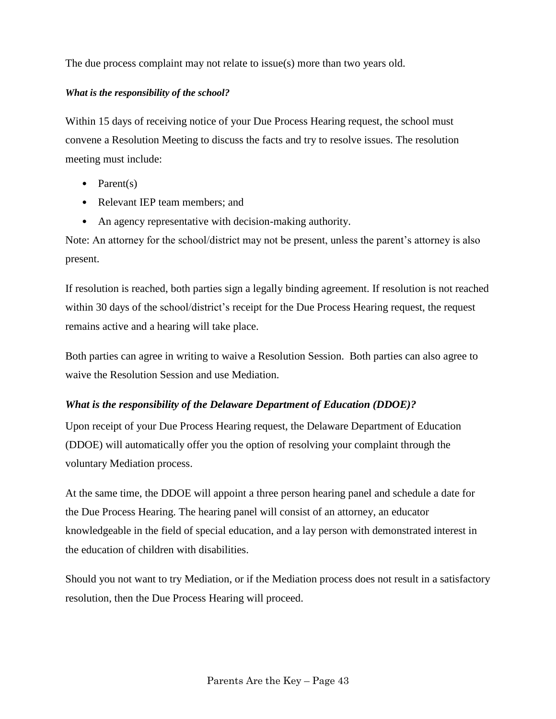The due process complaint may not relate to issue(s) more than two years old.

#### *What is the responsibility of the school?*

Within 15 days of receiving notice of your Due Process Hearing request, the school must convene a Resolution Meeting to discuss the facts and try to resolve issues. The resolution meeting must include:

- Parent(s)
- Relevant IEP team members: and
- An agency representative with decision-making authority.

Note: An attorney for the school/district may not be present, unless the parent's attorney is also present.

If resolution is reached, both parties sign a legally binding agreement. If resolution is not reached within 30 days of the school/district's receipt for the Due Process Hearing request, the request remains active and a hearing will take place.

Both parties can agree in writing to waive a Resolution Session. Both parties can also agree to waive the Resolution Session and use Mediation.

### *What is the responsibility of the Delaware Department of Education (DDOE)?*

Upon receipt of your Due Process Hearing request, the Delaware Department of Education (DDOE) will automatically offer you the option of resolving your complaint through the voluntary Mediation process.

At the same time, the DDOE will appoint a three person hearing panel and schedule a date for the Due Process Hearing. The hearing panel will consist of an attorney, an educator knowledgeable in the field of special education, and a lay person with demonstrated interest in the education of children with disabilities.

Should you not want to try Mediation, or if the Mediation process does not result in a satisfactory resolution, then the Due Process Hearing will proceed.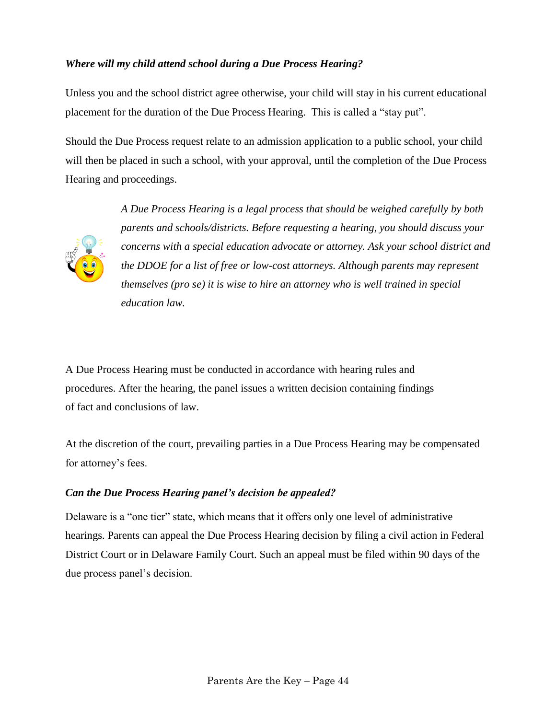### *Where will my child attend school during a Due Process Hearing?*

Unless you and the school district agree otherwise, your child will stay in his current educational placement for the duration of the Due Process Hearing. This is called a "stay put".

Should the Due Process request relate to an admission application to a public school, your child will then be placed in such a school, with your approval, until the completion of the Due Process Hearing and proceedings.



*A Due Process Hearing is a legal process that should be weighed carefully by both parents and schools/districts. Before requesting a hearing, you should discuss your concerns with a special education advocate or attorney. Ask your school district and the DDOE for a list of free or low-cost attorneys. Although parents may represent themselves (pro se) it is wise to hire an attorney who is well trained in special education law.*

A Due Process Hearing must be conducted in accordance with hearing rules and procedures. After the hearing, the panel issues a written decision containing findings of fact and conclusions of law.

At the discretion of the court, prevailing parties in a Due Process Hearing may be compensated for attorney's fees.

### <span id="page-47-0"></span>*Can the Due Process Hearing panel's decision be appealed?*

Delaware is a "one tier" state, which means that it offers only one level of administrative hearings. Parents can appeal the Due Process Hearing decision by filing a civil action in Federal District Court or in Delaware Family Court. Such an appeal must be filed within 90 days of the due process panel's decision.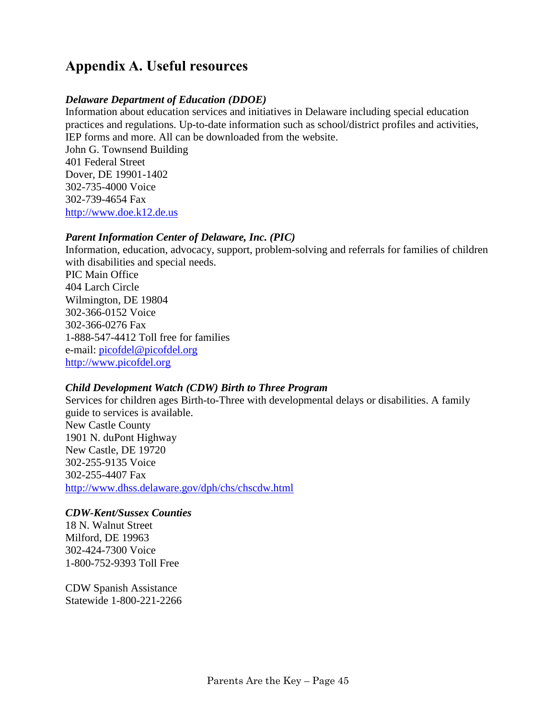## <span id="page-48-0"></span>**Appendix A. Useful resources**

#### *Delaware Department of Education (DDOE)*

Information about education services and initiatives in Delaware including special education practices and regulations. Up-to-date information such as school/district profiles and activities, IEP forms and more. All can be downloaded from the website. John G. Townsend Building 401 Federal Street Dover, DE 19901-1402 302-735-4000 Voice 302-739-4654 Fax [http://www.doe.k12.de.us](http://www.doe.k12.de.us/)

#### *Parent Information Center of Delaware, Inc. (PIC)*

Information, education, advocacy, support, problem-solving and referrals for families of children with disabilities and special needs.

PIC Main Office 404 Larch Circle Wilmington, DE 19804 302-366-0152 Voice 302-366-0276 Fax 1-888-547-4412 Toll free for families e-mail: [picofdel@picofdel.org](mailto:picofdel@picofdel.org) [http://www.picofdel.org](http://www.picofdel.org/)

#### *Child Development Watch (CDW) Birth to Three Program*

Services for children ages Birth-to-Three with developmental delays or disabilities. A family guide to services is available. New Castle County 1901 N. duPont Highway New Castle, DE 19720 302-255-9135 Voice 302-255-4407 Fax <http://www.dhss.delaware.gov/dph/chs/chscdw.html>

#### *CDW-Kent/Sussex Counties*

18 N. Walnut Street Milford, DE 19963 302-424-7300 Voice 1-800-752-9393 Toll Free

CDW Spanish Assistance Statewide 1-800-221-2266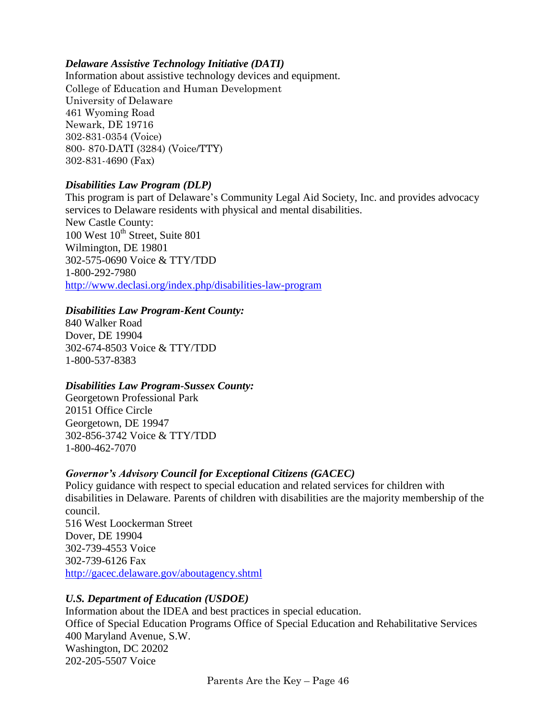#### *Delaware Assistive Technology Initiative (DATI)*

Information about assistive technology devices and equipment. College of Education and Human Development University of Delaware 461 Wyoming Road Newark, DE 19716 302-831-0354 (Voice) 800- 870-DATI (3284) (Voice/TTY) 302-831-4690 (Fax)

#### *Disabilities Law Program (DLP)*

This program is part of Delaware's Community Legal Aid Society, Inc. and provides advocacy services to Delaware residents with physical and mental disabilities. New Castle County:  $100$  West  $10^{th}$  Street, Suite 801 Wilmington, DE 19801 302-575-0690 Voice & TTY/TDD 1-800-292-7980 <http://www.declasi.org/index.php/disabilities-law-program>

### *Disabilities Law Program-Kent County:*

840 Walker Road Dover, DE 19904 302-674-8503 Voice & TTY/TDD 1-800-537-8383

#### *Disabilities Law Program-Sussex County:*

Georgetown Professional Park 20151 Office Circle Georgetown, DE 19947 302-856-3742 Voice & TTY/TDD 1-800-462-7070

### *Governor's Advisory Council for Exceptional Citizens (GACEC)*

Policy guidance with respect to special education and related services for children with disabilities in Delaware. Parents of children with disabilities are the majority membership of the council. 516 West Loockerman Street Dover, DE 19904 302-739-4553 Voice 302-739-6126 Fax <http://gacec.delaware.gov/aboutagency.shtml>

### *U.S. Department of Education (USDOE)*

Information about the IDEA and best practices in special education. Office of Special Education Programs Office of Special Education and Rehabilitative Services 400 Maryland Avenue, S.W. Washington, DC 20202 202-205-5507 Voice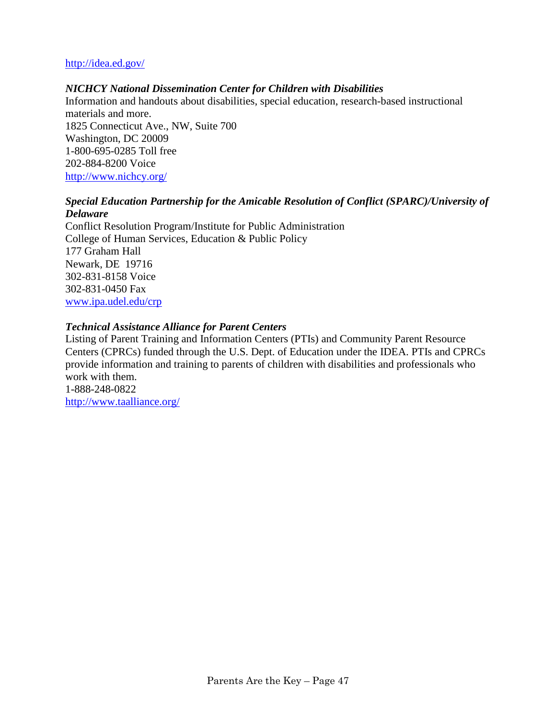#### <http://idea.ed.gov/>

#### *NICHCY National Dissemination Center for Children with Disabilities*

Information and handouts about disabilities, special education, research-based instructional materials and more. 1825 Connecticut Ave., NW, Suite 700 Washington, DC 20009 1-800-695-0285 Toll free 202-884-8200 Voice <http://www.nichcy.org/>

#### *Special Education Partnership for the Amicable Resolution of Conflict (SPARC)/University of Delaware*

Conflict Resolution Program/Institute for Public Administration College of Human Services, Education & Public Policy 177 Graham Hall Newark, DE 19716 302-831-8158 Voice 302-831-0450 Fax [www.ipa.udel.edu/crp](http://www.ipa.udel.edu/crp)

#### *Technical Assistance Alliance for Parent Centers*

Listing of Parent Training and Information Centers (PTIs) and Community Parent Resource Centers (CPRCs) funded through the U.S. Dept. of Education under the IDEA. PTIs and CPRCs provide information and training to parents of children with disabilities and professionals who work with them. 1-888-248-0822 <http://www.taalliance.org/>

Parents Are the Key – Page 47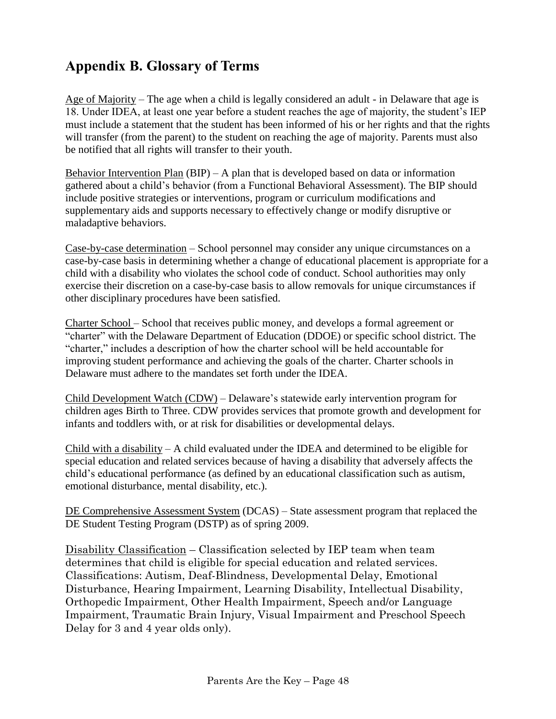## <span id="page-51-0"></span>**Appendix B. Glossary of Terms**

Age of Majority – The age when a child is legally considered an adult - in Delaware that age is 18. Under IDEA, at least one year before a student reaches the age of majority, the student's IEP must include a statement that the student has been informed of his or her rights and that the rights will transfer (from the parent) to the student on reaching the age of majority. Parents must also be notified that all rights will transfer to their youth.

Behavior Intervention Plan (BIP) – A plan that is developed based on data or information gathered about a child's behavior (from a Functional Behavioral Assessment). The BIP should include positive strategies or interventions, program or curriculum modifications and supplementary aids and supports necessary to effectively change or modify disruptive or maladaptive behaviors.

Case-by-case determination – School personnel may consider any unique circumstances on a case-by-case basis in determining whether a change of educational placement is appropriate for a child with a disability who violates the school code of conduct. School authorities may only exercise their discretion on a case-by-case basis to allow removals for unique circumstances if other disciplinary procedures have been satisfied.

Charter School – School that receives public money, and develops a formal agreement or "charter" with the Delaware Department of Education (DDOE) or specific school district. The "charter," includes a description of how the charter school will be held accountable for improving student performance and achieving the goals of the charter. Charter schools in Delaware must adhere to the mandates set forth under the IDEA.

Child Development Watch (CDW) – Delaware's statewide early intervention program for children ages Birth to Three. CDW provides services that promote growth and development for infants and toddlers with, or at risk for disabilities or developmental delays.

Child with a disability – A child evaluated under the IDEA and determined to be eligible for special education and related services because of having a disability that adversely affects the child's educational performance (as defined by an educational classification such as autism, emotional disturbance, mental disability, etc.).

DE Comprehensive Assessment System (DCAS) – State assessment program that replaced the DE Student Testing Program (DSTP) as of spring 2009.

Disability Classification – Classification selected by IEP team when team determines that child is eligible for special education and related services. Classifications: Autism, Deaf-Blindness, Developmental Delay, Emotional Disturbance, Hearing Impairment, Learning Disability, Intellectual Disability, Orthopedic Impairment, Other Health Impairment, Speech and/or Language Impairment, Traumatic Brain Injury, Visual Impairment and Preschool Speech Delay for 3 and 4 year olds only).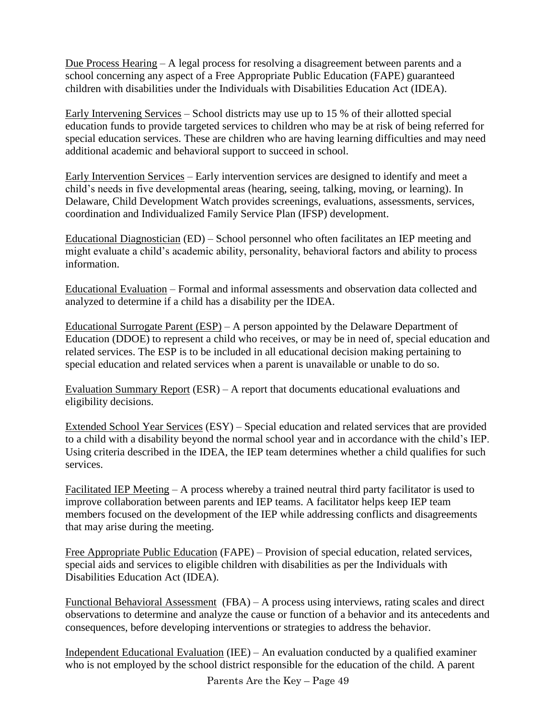Due Process Hearing – A legal process for resolving a disagreement between parents and a school concerning any aspect of a Free Appropriate Public Education (FAPE) guaranteed children with disabilities under the Individuals with Disabilities Education Act (IDEA).

Early Intervening Services – School districts may use up to 15 % of their allotted special education funds to provide targeted services to children who may be at risk of being referred for special education services. These are children who are having learning difficulties and may need additional academic and behavioral support to succeed in school.

Early Intervention Services – Early intervention services are designed to identify and meet a child's needs in five developmental areas (hearing, seeing, talking, moving, or learning). In Delaware, Child Development Watch provides screenings, evaluations, assessments, services, coordination and Individualized Family Service Plan (IFSP) development.

Educational Diagnostician (ED) – School personnel who often facilitates an IEP meeting and might evaluate a child's academic ability, personality, behavioral factors and ability to process information.

Educational Evaluation – Formal and informal assessments and observation data collected and analyzed to determine if a child has a disability per the IDEA.

Educational Surrogate Parent (ESP) – A person appointed by the Delaware Department of Education (DDOE) to represent a child who receives, or may be in need of, special education and related services. The ESP is to be included in all educational decision making pertaining to special education and related services when a parent is unavailable or unable to do so.

Evaluation Summary Report (ESR) – A report that documents educational evaluations and eligibility decisions.

Extended School Year Services (ESY) – Special education and related services that are provided to a child with a disability beyond the normal school year and in accordance with the child's IEP. Using criteria described in the IDEA, the IEP team determines whether a child qualifies for such services.

Facilitated IEP Meeting – A process whereby a trained neutral third party facilitator is used to improve collaboration between parents and IEP teams. A facilitator helps keep IEP team members focused on the development of the IEP while addressing conflicts and disagreements that may arise during the meeting.

Free Appropriate Public Education (FAPE) – Provision of special education, related services, special aids and services to eligible children with disabilities as per the Individuals with Disabilities Education Act (IDEA).

Functional Behavioral Assessment (FBA) – A process using interviews, rating scales and direct observations to determine and analyze the cause or function of a behavior and its antecedents and consequences, before developing interventions or strategies to address the behavior.

Independent Educational Evaluation (IEE) – An evaluation conducted by a qualified examiner who is not employed by the school district responsible for the education of the child. A parent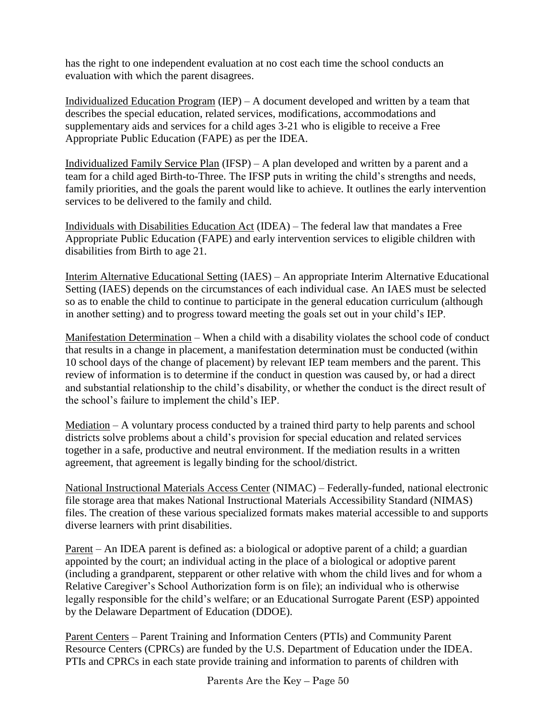has the right to one independent evaluation at no cost each time the school conducts an evaluation with which the parent disagrees.

Individualized Education Program (IEP) – A document developed and written by a team that describes the special education, related services, modifications, accommodations and supplementary aids and services for a child ages 3-21 who is eligible to receive a Free Appropriate Public Education (FAPE) as per the IDEA.

Individualized Family Service Plan (IFSP) – A plan developed and written by a parent and a team for a child aged Birth-to-Three. The IFSP puts in writing the child's strengths and needs, family priorities, and the goals the parent would like to achieve. It outlines the early intervention services to be delivered to the family and child.

Individuals with Disabilities Education Act (IDEA) – The federal law that mandates a Free Appropriate Public Education (FAPE) and early intervention services to eligible children with disabilities from Birth to age 21.

Interim Alternative Educational Setting (IAES) – An appropriate Interim Alternative Educational Setting (IAES) depends on the circumstances of each individual case. An IAES must be selected so as to enable the child to continue to participate in the general education curriculum (although in another setting) and to progress toward meeting the goals set out in your child's IEP.

Manifestation Determination – When a child with a disability violates the school code of conduct that results in a change in placement, a manifestation determination must be conducted (within 10 school days of the change of placement) by relevant IEP team members and the parent. This review of information is to determine if the conduct in question was caused by, or had a direct and substantial relationship to the child's disability, or whether the conduct is the direct result of the school's failure to implement the child's IEP.

Mediation – A voluntary process conducted by a trained third party to help parents and school districts solve problems about a child's provision for special education and related services together in a safe, productive and neutral environment. If the mediation results in a written agreement, that agreement is legally binding for the school/district.

National Instructional Materials Access Center (NIMAC) – Federally-funded, national electronic file storage area that makes National Instructional Materials Accessibility Standard (NIMAS) files. The creation of these various specialized formats makes material accessible to and supports diverse learners with print disabilities.

Parent – An IDEA parent is defined as: a biological or adoptive parent of a child; a guardian appointed by the court; an individual acting in the place of a biological or adoptive parent (including a grandparent, stepparent or other relative with whom the child lives and for whom a Relative Caregiver's School Authorization form is on file); an individual who is otherwise legally responsible for the child's welfare; or an Educational Surrogate Parent (ESP) appointed by the Delaware Department of Education (DDOE).

Parent Centers – Parent Training and Information Centers (PTIs) and Community Parent Resource Centers (CPRCs) are funded by the U.S. Department of Education under the IDEA. PTIs and CPRCs in each state provide training and information to parents of children with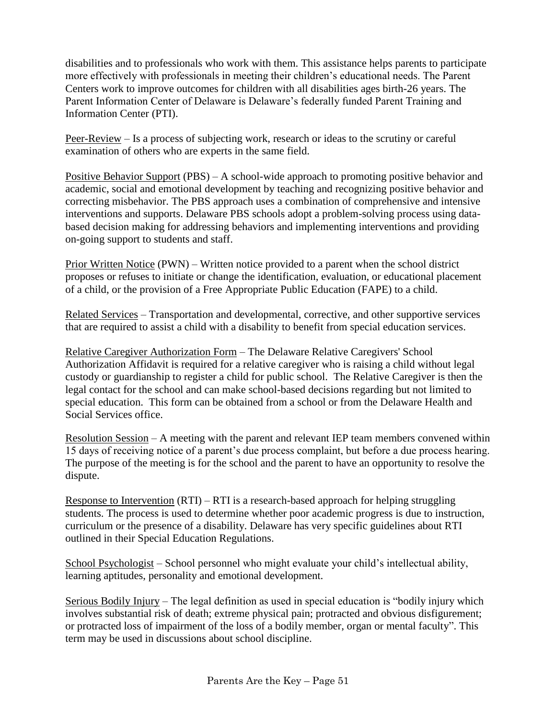disabilities and to professionals who work with them. This assistance helps parents to participate more effectively with professionals in meeting their children's educational needs. The Parent Centers work to improve outcomes for children with all disabilities ages birth-26 years. The Parent Information Center of Delaware is Delaware's federally funded Parent Training and Information Center (PTI).

Peer-Review – Is a process of subjecting work, research or ideas to the scrutiny or careful examination of others who are experts in the same field.

Positive Behavior Support (PBS) – A school-wide approach to promoting positive behavior and academic, social and emotional development by teaching and recognizing positive behavior and correcting misbehavior. The PBS approach uses a combination of comprehensive and intensive interventions and supports. Delaware PBS schools adopt a problem-solving process using databased decision making for addressing behaviors and implementing interventions and providing on-going support to students and staff.

Prior Written Notice (PWN) – Written notice provided to a parent when the school district proposes or refuses to initiate or change the identification, evaluation, or educational placement of a child, or the provision of a Free Appropriate Public Education (FAPE) to a child.

Related Services – Transportation and developmental, corrective, and other supportive services that are required to assist a child with a disability to benefit from special education services.

Relative Caregiver Authorization Form – The Delaware Relative Caregivers' School Authorization Affidavit is required for a relative caregiver who is raising a child without legal custody or guardianship to register a child for public school. The Relative Caregiver is then the legal contact for the school and can make school-based decisions regarding but not limited to special education. This form can be obtained from a school or from the Delaware Health and Social Services office.

Resolution Session – A meeting with the parent and relevant IEP team members convened within 15 days of receiving notice of a parent's due process complaint, but before a due process hearing. The purpose of the meeting is for the school and the parent to have an opportunity to resolve the dispute.

Response to Intervention  $(RTI) - RTI$  is a research-based approach for helping struggling students. The process is used to determine whether poor academic progress is due to instruction, curriculum or the presence of a disability. Delaware has very specific guidelines about RTI outlined in their Special Education Regulations.

School Psychologist – School personnel who might evaluate your child's intellectual ability, learning aptitudes, personality and emotional development.

Serious Bodily Injury – The legal definition as used in special education is "bodily injury which involves substantial risk of death; extreme physical pain; protracted and obvious disfigurement; or protracted loss of impairment of the loss of a bodily member, organ or mental faculty". This term may be used in discussions about school discipline.